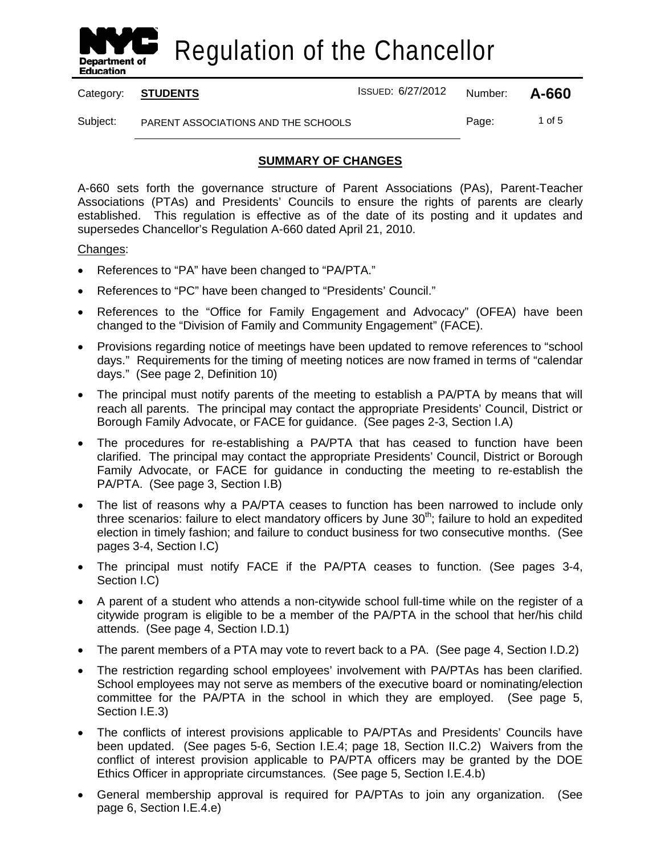

Category: **STUDENTS** ISSUED: 6/27/2012 Number: **A-660**

Subject: PARENT ASSOCIATIONS AND THE SCHOOLS Page: 1 of 5

## **SUMMARY OF CHANGES**

A-660 sets forth the governance structure of Parent Associations (PAs), Parent-Teacher Associations (PTAs) and Presidents' Councils to ensure the rights of parents are clearly established. This regulation is effective as of the date of its posting and it updates and supersedes Chancellor's Regulation A-660 dated April 21, 2010.

### Changes :

- References to "PA" have been changed to "PA/PTA."
- References to "PC" have been changed to "Presidents' Council."
- References to the "Office for Family Engagement and Advocacy" (OFEA) have been changed to the "Division of Family and Community Engagement" (FACE).
- Provisions regarding notice of meetings have been updated to remove references to "school days." Requirements for the timing of meeting notices are now framed in terms of "calendar days." (See page 2, Definition 10)
- The principal must notify parents of the meeting to establish a PA/PTA by means that will reach all parents. The principal may contact the appropriate Presidents' Council, District or Borough Family Advocate, or FACE for guidance. (See pages 2-3, Section I.A)
- The procedures for re-establishing a PA/PTA that has ceased to function have been clarified. The principal may contact the appropriate Presidents' Council, District or Borough Family Advocate, or FACE for guidance in conducting the meeting to re-establish the PA/PTA. (See page 3, Section I.B)
- The list of reasons why a PA/PTA ceases to function has been narrowed to include only three scenarios: failure to elect mandatory officers by June 30<sup>th</sup>; failure to hold an expedited election in timely fashion; and failure to conduct business for two consecutive months. (See pages 3-4, Section I.C)
- The principal must notify FACE if the PA/PTA ceases to function. (See pages 3-4, Section I.C)
- A parent of a student who attends a non-citywide school full-time while on the register of a citywide program is eligible to be a member of the PA/PTA in the school that her/his child attends. (See page 4, Section I.D.1)
- The parent members of a PTA may vote to revert back to a PA. (See page 4, Section I.D.2)
- The restriction regarding school employees' involvement with PA/PTAs has been clarified. School employees may not serve as members of the executive board or nominating/election committee for the PA/PTA in the school in which they are employed. (See page 5, Section I.E.3)
- The conflicts of interest provisions applicable to PA/PTAs and Presidents' Councils have been updated. (See pages 5-6, Section I.E.4; page 18, Section II.C.2) Waivers from the conflict of interest provision applicable to PA/PTA officers may be granted by the DOE Ethics Officer in appropriate circumstances. (See page 5, Section I.E.4.b)
- General membership approval is required for PA/PTAs to join any organization. (See page 6, Section I.E.4.e)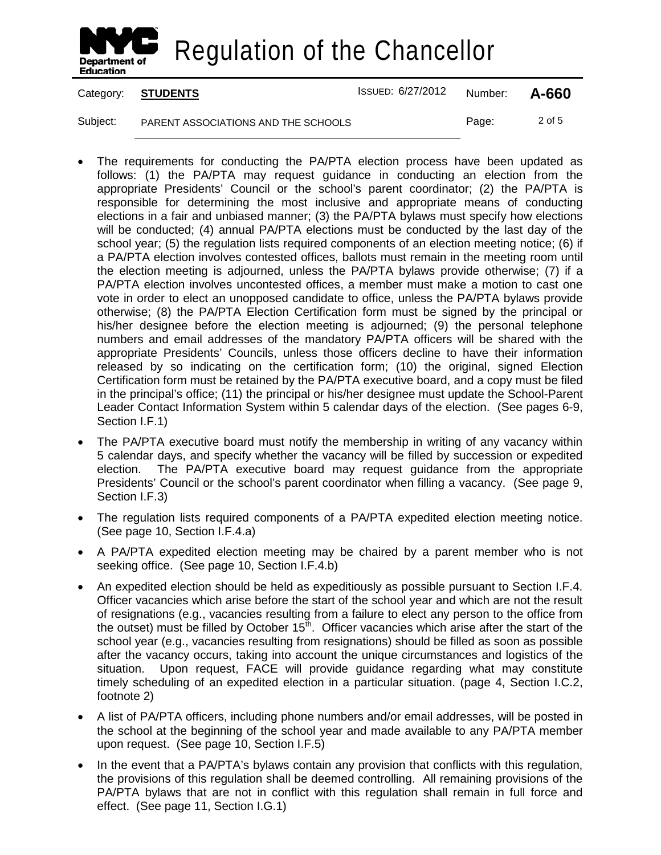

Category: **STUDENTS** ISSUED: 6/27/2012 Number: **A-660**

Subject: PARENT ASSOCIATIONS AND THE SCHOOLS Page: 2 of 5

- The requirements for conducting the PA/PTA election process have been updated as follows: (1) the PA/PTA may request guidance in conducting an election from the appropriate Presidents' Council or the school's parent coordinator; (2) the PA/PTA is responsible for determining the most inclusive and appropriate means of conducting elections in a fair and unbiased manner; (3) the PA/PTA bylaws must specify how elections will be conducted; (4) annual PA/PTA elections must be conducted by the last day of the school year; (5) the regulation lists required components of an election meeting notice; (6) if a PA/PTA election involves contested offices, ballots must remain in the meeting room until the election meeting is adjourned, unless the PA/PTA bylaws provide otherwise; (7) if a PA/PTA election involves uncontested offices, a member must make a motion to cast one vote in order to elect an unopposed candidate to office, unless the PA/PTA bylaws provide otherwise; (8) the PA/PTA Election Certification form must be signed by the principal or his/her designee before the election meeting is adjourned; (9) the personal telephone numbers and email addresses of the mandatory PA/PTA officers will be shared with the appropriate Presidents' Councils, unless those officers decline to have their information released by so indicating on the certification form; (10) the original, signed Election Certification form must be retained by the PA/PTA executive board, and a copy must be filed in the principal's office; (11) the principal or his/her designee must update the School-Parent Leader Contact Information System within 5 calendar days of the election. (See pages 6-9, Section I.F.1)
- The PA/PTA executive board must notify the membership in writing of any vacancy within 5 calendar days, and specify whether the vacancy will be filled by succession or expedited election. The PA/PTA executive board may request guidance from the appropriate Presidents' Council or the school's parent coordinator when filling a vacancy. (See page 9, Section I.F.3)
- The regulation lists required components of a PA/PTA expedited election meeting notice. (See page 10, Section I.F.4.a)
- A PA/PTA expedited election meeting may be chaired by a parent member who is not seeking office. (See page 10, Section I.F.4.b)
- An expedited election should be held as expeditiously as possible pursuant to Section I.F.4. Officer vacancies which arise before the start of the school year and which are not the result of resignations (e.g., vacancies resulting from a failure to elect any person to the office from the outset) must be filled by October  $15<sup>th</sup>$ . Officer vacancies which arise after the start of the school year (e.g., vacancies resulting from resignations) should be filled as soon as possible after the vacancy occurs, taking into account the unique circumstances and logistics of the situation. Upon request, FACE will provide guidance regarding what may constitute timely scheduling of an expedited election in a particular situation. (page 4, Section I.C.2, footnote 2)
- A list of PA/PTA officers, including phone numbers and/or email addresses, will be posted in the school at the beginning of the school year and made available to any PA/PTA member upon request. (See page 10, Section I.F.5)
- In the event that a PA/PTA's bylaws contain any provision that conflicts with this regulation, the provisions of this regulation shall be deemed controlling. All remaining provisions of the PA/PTA bylaws that are not in conflict with this regulation shall remain in full force and effect. (See page 11, Section I.G.1)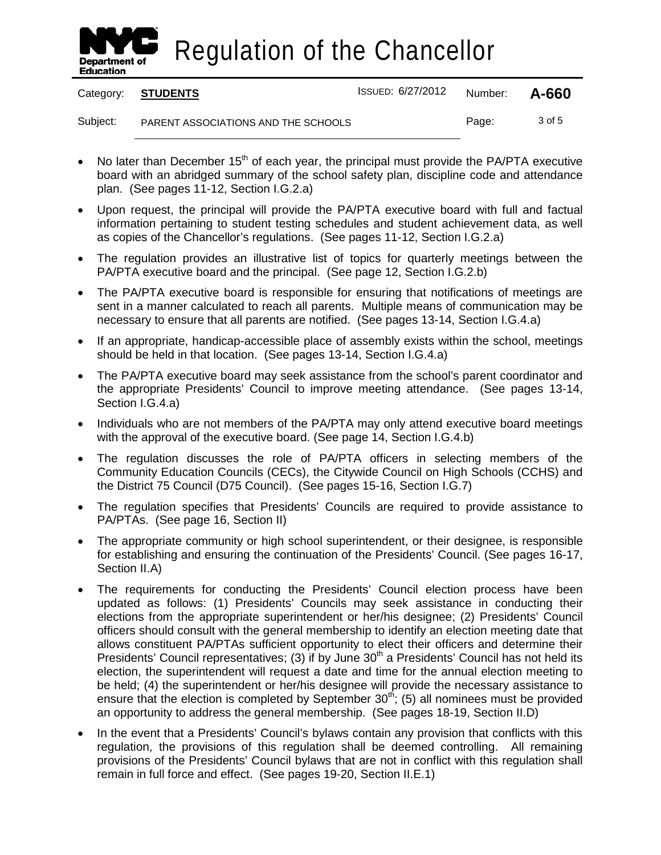

Category: **STUDENTS** ISSUED: 6/27/2012 Number: **A-660**

Subject: PARENT ASSOCIATIONS AND THE SCHOOLS Page: 3 of 5

- No later than December  $15<sup>th</sup>$  of each year, the principal must provide the PA/PTA executive board with an abridged summary of the school safety plan, discipline code and attendance plan. (See pages 11-12, Section I.G.2.a)
- Upon request, the principal will provide the PA/PTA executive board with full and factual information pertaining to student testing schedules and student achievement data, as well as copies of the Chancellor's regulations. (See pages 11-12, Section I.G.2.a)
- The regulation provides an illustrative list of topics for quarterly meetings between the PA/PTA executive board and the principal. (See page 12, Section I.G.2.b)
- The PA/PTA executive board is responsible for ensuring that notifications of meetings are sent in a manner calculated to reach all parents. Multiple means of communication may be necessary to ensure that all parents are notified. (See pages 13-14, Section I.G.4.a)
- If an appropriate, handicap-accessible place of assembly exists within the school, meetings should be held in that location. (See pages 13-14, Section I.G.4.a)
- The PA/PTA executive board may seek assistance from the school's parent coordinator and the appropriate Presidents' Council to improve meeting attendance. (See pages 13-14, Section I.G.4.a)
- Individuals who are not members of the PA/PTA may only attend executive board meetings with the approval of the executive board. (See page 14, Section I.G.4.b)
- The regulation discusses the role of PA/PTA officers in selecting members of the Community Education Councils (CECs), the Citywide Council on High Schools (CCHS) and the District 75 Council (D75 Council). (See pages 15-16, Section I.G.7)
- The regulation specifies that Presidents' Councils are required to provide assistance to PA/PTAs. (See page 16, Section II)
- The appropriate community or high school superintendent, or their designee, is responsible for establishing and ensuring the continuation of the Presidents' Council. (See pages 16-17, Section II.A)
- The requirements for conducting the Presidents' Council election process have been updated as follows: (1) Presidents' Councils may seek assistance in conducting their elections from the appropriate superintendent or her/his designee; (2) Presidents' Council officers should consult with the general membership to identify an election meeting date that allows constituent PA/PTAs sufficient opportunity to elect their officers and determine their Presidents' Council representatives; (3) if by June 30<sup>th</sup> a Presidents' Council has not held its election, the superintendent will request a date and time for the annual election meeting to be held; (4) the superintendent or her/his designee will provide the necessary assistance to ensure that the election is completed by September  $30<sup>th</sup>$ ; (5) all nominees must be provided an opportunity to address the general membership. (See pages 18-19, Section II.D)
- In the event that a Presidents' Council's bylaws contain any provision that conflicts with this regulation, the provisions of this regulation shall be deemed controlling. All remaining provisions of the Presidents' Council bylaws that are not in conflict with this regulation shall remain in full force and effect. (See pages 19-20, Section II.E.1)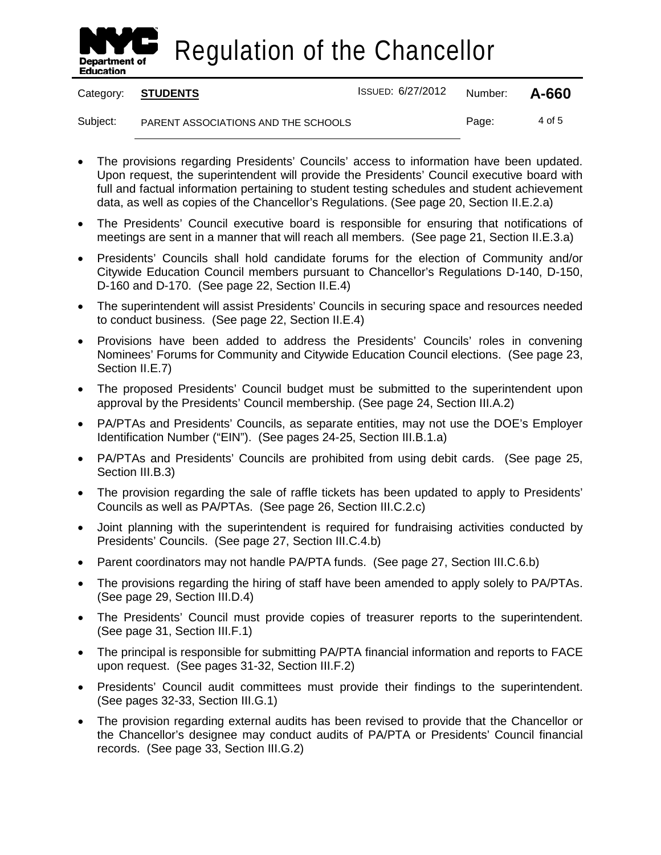

Category: **STUDENTS** ISSUED: 6/27/2012 Number: **A-660**

- The provisions regarding Presidents' Councils' access to information have been updated. Upon request, the superintendent will provide the Presidents' Council executive board with full and factual information pertaining to student testing schedules and student achievement data, as well as copies of the Chancellor's Regulations. (See page 20, Section II.E.2.a)
- The Presidents' Council executive board is responsible for ensuring that notifications of meetings are sent in a manner that will reach all members. (See page 21, Section II.E.3.a)
- Presidents' Councils shall hold candidate forums for the election of Community and/or Citywide Education Council members pursuant to Chancellor's Regulations D-140, D-150, D-160 and D-170. (See page 22, Section II.E.4)
- The superintendent will assist Presidents' Councils in securing space and resources needed to conduct business. (See page 22, Section II.E.4)
- Provisions have been added to address the Presidents' Councils' roles in convening Nominees' Forums for Community and Citywide Education Council elections. (See page 23, Section II.E.7)
- The proposed Presidents' Council budget must be submitted to the superintendent upon approval by the Presidents' Council membership. (See page 24, Section III.A.2)
- PA/PTAs and Presidents' Councils, as separate entities, may not use the DOE's Employer Identification Number ("EIN"). (See pages 24-25, Section III.B.1.a)
- PA/PTAs and Presidents' Councils are prohibited from using debit cards. (See page 25, Section III.B.3)
- The provision regarding the sale of raffle tickets has been updated to apply to Presidents' Councils as well as PA/PTAs. (See page 26, Section III.C.2.c)
- Joint planning with the superintendent is required for fundraising activities conducted by Presidents' Councils. (See page 27, Section III.C.4.b)
- Parent coordinators may not handle PA/PTA funds. (See page 27, Section III.C.6.b)
- The provisions regarding the hiring of staff have been amended to apply solely to PA/PTAs. (See page 29, Section III.D.4)
- The Presidents' Council must provide copies of treasurer reports to the superintendent. (See page 31, Section III.F.1)
- The principal is responsible for submitting PA/PTA financial information and reports to FACE upon request. (See pages 31-32, Section III.F.2)
- Presidents' Council audit committees must provide their findings to the superintendent. (See pages 32-33, Section III.G.1)
- The provision regarding external audits has been revised to provide that the Chancellor or the Chancellor's designee may conduct audits of PA/PTA or Presidents' Council financial records. (See page 33, Section III.G.2)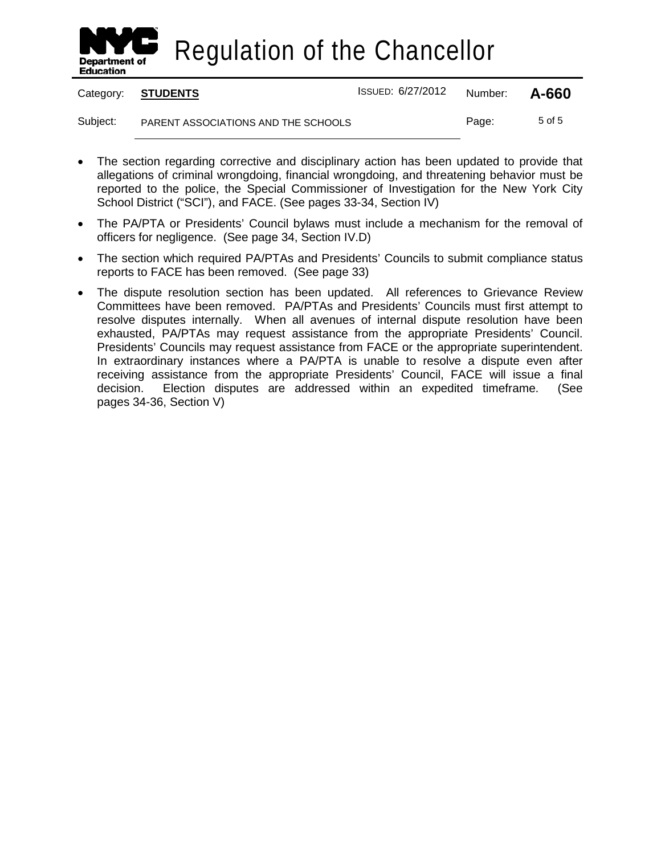

|          | Category: STUDENTS                  | ISSUED: 6/27/2012 | Number: | A-660  |
|----------|-------------------------------------|-------------------|---------|--------|
| Subject: | PARENT ASSOCIATIONS AND THE SCHOOLS |                   | Page:   | 5 of 5 |

- The section regarding corrective and disciplinary action has been updated to provide that allegations of criminal wrongdoing, financial wrongdoing, and threatening behavior must be reported to the police, the Special Commissioner of Investigation for the New York City School District ("SCI"), and FACE. (See pages 33-34, Section IV)
- The PA/PTA or Presidents' Council bylaws must include a mechanism for the removal of officers for negligence. (See page 34, Section IV.D)
- The section which required PA/PTAs and Presidents' Councils to submit compliance status reports to FACE has been removed. (See page 33)
- The dispute resolution section has been updated. All references to Grievance Review Committees have been removed. PA/PTAs and Presidents' Councils must first attempt to resolve disputes internally. When all avenues of internal dispute resolution have been exhausted, PA/PTAs may request assistance from the appropriate Presidents' Council. Presidents' Councils may request assistance from FACE or the appropriate superintendent. In extraordinary instances where a PA/PTA is unable to resolve a dispute even after receiving assistance from the appropriate Presidents' Council, FACE will issue a final decision. Election disputes are addressed within an expedited timeframe. (See pages 34-36, Section V)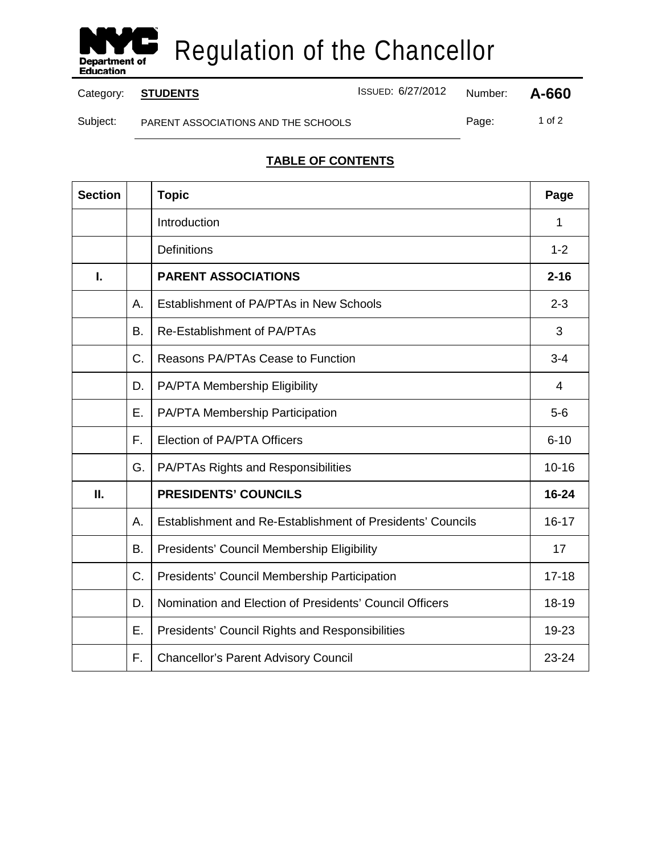

Category: **STUDENTS ISSUED: 6/27/2012** Number: **A-660** 

Subject: PARENT ASSOCIATIONS AND THE SCHOOLS Page: 1 of 2

# **TABLE OF CONTENTS**

| <b>Section</b> |    | <b>Topic</b>                                               | Page      |
|----------------|----|------------------------------------------------------------|-----------|
|                |    | Introduction                                               | 1         |
|                |    | <b>Definitions</b>                                         | $1 - 2$   |
| I.             |    | <b>PARENT ASSOCIATIONS</b>                                 | $2 - 16$  |
|                | А. | Establishment of PA/PTAs in New Schools                    | $2 - 3$   |
|                | B. | Re-Establishment of PA/PTAs                                | 3         |
|                | C. | Reasons PA/PTAs Cease to Function                          | $3 - 4$   |
|                | D. | PA/PTA Membership Eligibility                              | 4         |
|                | Ε. | PA/PTA Membership Participation                            | $5-6$     |
|                | F. | Election of PA/PTA Officers                                | $6 - 10$  |
|                | G. | <b>PA/PTAs Rights and Responsibilities</b>                 | $10 - 16$ |
| П.             |    | <b>PRESIDENTS' COUNCILS</b>                                | 16-24     |
|                | А. | Establishment and Re-Establishment of Presidents' Councils | $16 - 17$ |
|                | В. | Presidents' Council Membership Eligibility                 | 17        |
|                | C. | Presidents' Council Membership Participation               | $17 - 18$ |
|                | D. | Nomination and Election of Presidents' Council Officers    | 18-19     |
|                | Ε. | Presidents' Council Rights and Responsibilities            | 19-23     |
|                | F. | <b>Chancellor's Parent Advisory Council</b>                | 23-24     |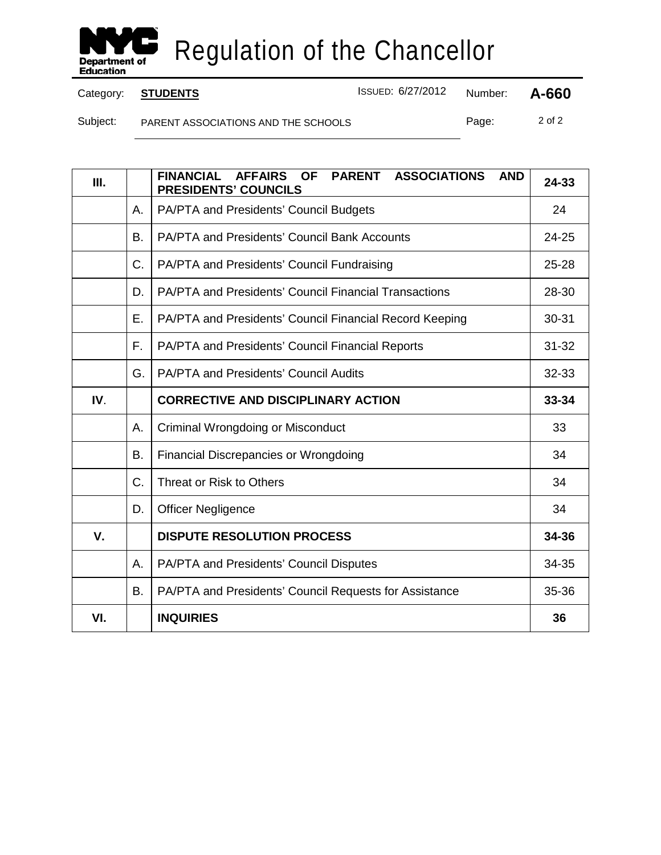

Category: **STUDENTS ISSUED: 6/27/2012** Number: **A-660** 

Subject: PARENT ASSOCIATIONS AND THE SCHOOLS Page: 2 of 2

| III. |    | <b>FINANCIAL</b><br><b>AFFAIRS</b><br><b>OF</b><br><b>PARENT</b><br><b>ASSOCIATIONS</b><br><b>AND</b><br><b>PRESIDENTS' COUNCILS</b> | 24-33     |
|------|----|--------------------------------------------------------------------------------------------------------------------------------------|-----------|
|      | A. | PA/PTA and Presidents' Council Budgets                                                                                               | 24        |
|      | Β. | <b>PA/PTA and Presidents' Council Bank Accounts</b>                                                                                  | 24-25     |
|      | C. | PA/PTA and Presidents' Council Fundraising                                                                                           | 25-28     |
|      | D. | PA/PTA and Presidents' Council Financial Transactions                                                                                | 28-30     |
|      | Ε. | PA/PTA and Presidents' Council Financial Record Keeping                                                                              | $30 - 31$ |
|      | F. | PA/PTA and Presidents' Council Financial Reports                                                                                     | $31 - 32$ |
|      | G. | <b>PA/PTA and Presidents' Council Audits</b>                                                                                         | 32-33     |
| IV.  |    | <b>CORRECTIVE AND DISCIPLINARY ACTION</b>                                                                                            | 33-34     |
|      | Α. | Criminal Wrongdoing or Misconduct                                                                                                    | 33        |
|      | В. | <b>Financial Discrepancies or Wrongdoing</b>                                                                                         | 34        |
|      | C. | Threat or Risk to Others                                                                                                             | 34        |
|      | D. | <b>Officer Negligence</b>                                                                                                            | 34        |
| V.   |    | <b>DISPUTE RESOLUTION PROCESS</b>                                                                                                    | 34-36     |
|      | Α. | PA/PTA and Presidents' Council Disputes                                                                                              | 34-35     |
|      | B. | PA/PTA and Presidents' Council Requests for Assistance                                                                               | 35-36     |
| VI.  |    | <b>INQUIRIES</b>                                                                                                                     | 36        |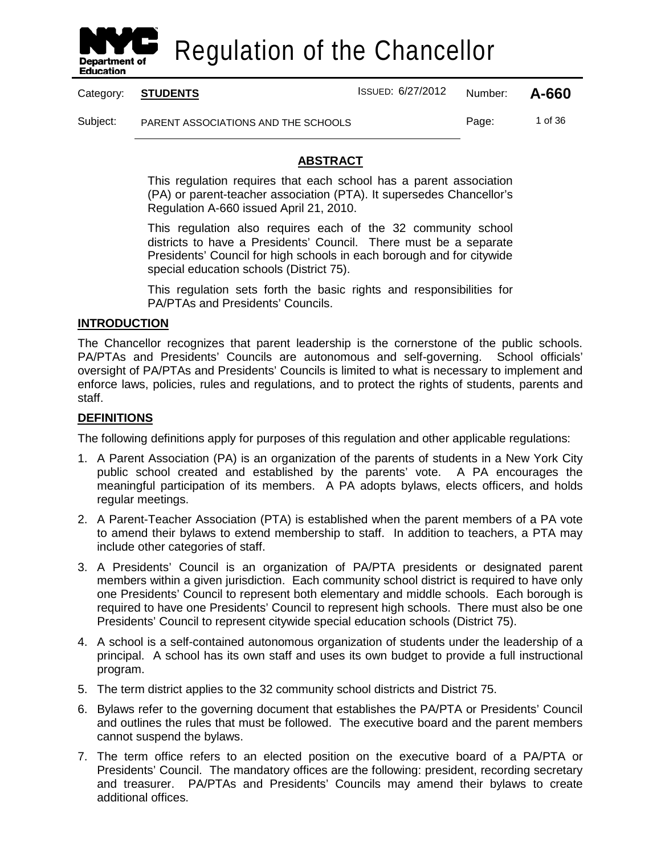

Category: **STUDENTS** ISSUED: 6/27/2012 Number: **A-660**

Subject: PARENT ASSOCIATIONS AND THE SCHOOLS Page: 1 of 36

**ABSTRACT**

This regulation requires that each school has a parent association (PA) or parent-teacher association (PTA). It supersedes Chancellor's Regulation A-660 issued April 21, 2010.

This regulation also requires each of the 32 community school districts to have a Presidents' Council. There must be a separate Presidents' Council for high schools in each borough and for citywide special education schools (District 75).

This regulation sets forth the basic rights and responsibilities for PA/PTAs and Presidents' Councils.

# **INTRODUCTION**

The Chancellor recognizes that parent leadership is the cornerstone of the public schools. PA/PTAs and Presidents' Councils are autonomous and self-governing. School officials' oversight of PA/PTAs and Presidents' Councils is limited to what is necessary to implement and enforce laws, policies, rules and regulations, and to protect the rights of students, parents and staff.

## **DEFINITIONS**

The following definitions apply for purposes of this regulation and other applicable regulations:

- 1. A Parent Association (PA) is an organization of the parents of students in a New York City public school created and established by the parents' vote. A PA encourages the meaningful participation of its members. A PA adopts bylaws, elects officers, and holds regular meetings.
- 2. A Parent-Teacher Association (PTA) is established when the parent members of a PA vote to amend their bylaws to extend membership to staff. In addition to teachers, a PTA may include other categories of staff.
- 3. A Presidents' Council is an organization of PA/PTA presidents or designated parent members within a given jurisdiction. Each community school district is required to have only one Presidents' Council to represent both elementary and middle schools. Each borough is required to have one Presidents' Council to represent high schools. There must also be one Presidents' Council to represent citywide special education schools (District 75).
- 4. A school is a self-contained autonomous organization of students under the leadership of a principal. A school has its own staff and uses its own budget to provide a full instructional program.
- 5. The term district applies to the 32 community school districts and District 75.
- 6. Bylaws refer to the governing document that establishes the PA/PTA or Presidents' Council and outlines the rules that must be followed. The executive board and the parent members cannot suspend the bylaws.
- 7. The term office refers to an elected position on the executive board of a PA/PTA or Presidents' Council. The mandatory offices are the following: president, recording secretary and treasurer. PA/PTAs and Presidents' Councils may amend their bylaws to create additional offices.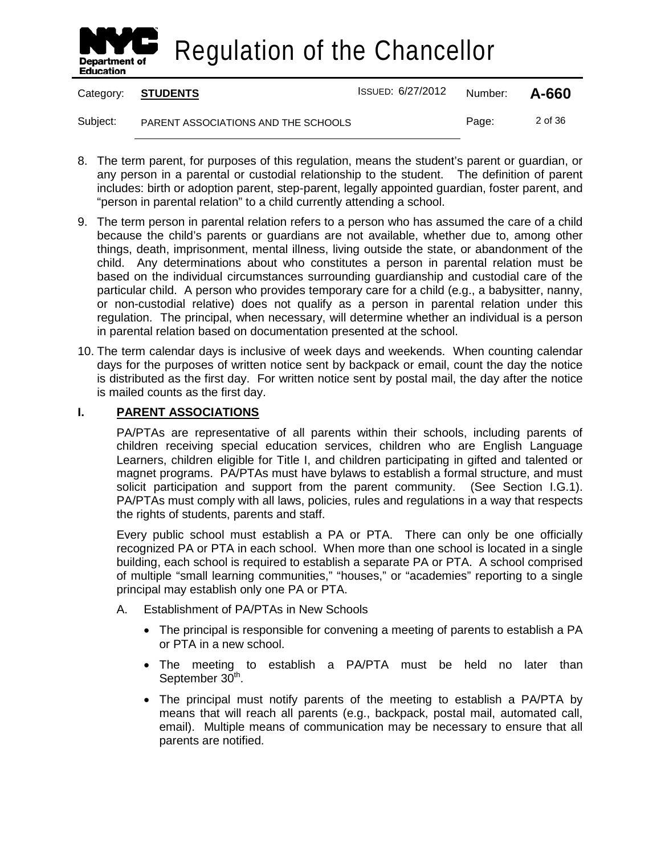

|          | Category: STUDENTS                  | ISSUED: 6/27/2012 | Number: | A-660   |
|----------|-------------------------------------|-------------------|---------|---------|
| Subject: | PARENT ASSOCIATIONS AND THE SCHOOLS |                   | Page:   | 2 of 36 |

- 8. The term parent, for purposes of this regulation, means the student's parent or guardian, or any person in a parental or custodial relationship to the student. The definition of parent includes: birth or adoption parent, step-parent, legally appointed guardian, foster parent, and "person in parental relation" to a child currently attending a school.
- 9. The term person in parental relation refers to a person who has assumed the care of a child because the child's parents or guardians are not available, whether due to, among other things, death, imprisonment, mental illness, living outside the state, or abandonment of the child. Any determinations about who constitutes a person in parental relation must be based on the individual circumstances surrounding guardianship and custodial care of the particular child. A person who provides temporary care for a child (e.g., a babysitter, nanny, or non-custodial relative) does not qualify as a person in parental relation under this regulation. The principal, when necessary, will determine whether an individual is a person in parental relation based on documentation presented at the school.
- 10. The term calendar days is inclusive of week days and weekends. When counting calendar days for the purposes of written notice sent by backpack or email, count the day the notice is distributed as the first day. For written notice sent by postal mail, the day after the notice is mailed counts as the first day.

#### **I. PARENT ASSOCIATIONS**

PA/PTAs are representative of all parents within their schools, including parents of children receiving special education services, children who are English Language Learners, children eligible for Title I, and children participating in gifted and talented or magnet programs. PA/PTAs must have bylaws to establish a formal structure, and must solicit participation and support from the parent community. (See Section I.G.1). PA/PTAs must comply with all laws, policies, rules and regulations in a way that respects the rights of students, parents and staff.

Every public school must establish a PA or PTA. There can only be one officially recognized PA or PTA in each school. When more than one school is located in a single building, each school is required to establish a separate PA or PTA. A school comprised of multiple "small learning communities," "houses," or "academies" reporting to a single principal may establish only one PA or PTA.

- A. Establishment of PA/PTAs in New Schools
	- The principal is responsible for convening a meeting of parents to establish a PA or PTA in a new school.
	- The meeting to establish a PA/PTA must be held no later than September 30<sup>th</sup>.
	- The principal must notify parents of the meeting to establish a PA/PTA by means that will reach all parents (e.g., backpack, postal mail, automated call, email). Multiple means of communication may be necessary to ensure that all parents are notified.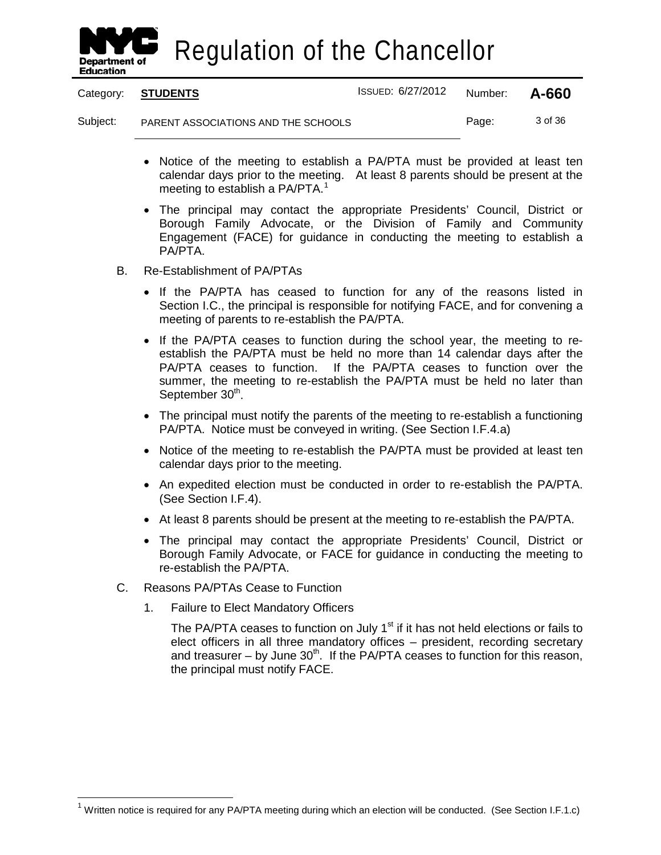

Category: **STUDENTS** ISSUED: 6/27/2012 Number: **A-660**

Subject: PARENT ASSOCIATIONS AND THE SCHOOLS Page: 3 of 36

- Notice of the meeting to establish a PA/PTA must be provided at least ten calendar days prior to the meeting. At least 8 parents should be present at the meeting to establish a PA/PTA.<sup>[1](#page-9-0)</sup>
- The principal may contact the appropriate Presidents' Council, District or Borough Family Advocate, or the Division of Family and Community Engagement (FACE) for guidance in conducting the meeting to establish a PA/PTA.
- B. Re-Establishment of PA/PTAs
	- If the PA/PTA has ceased to function for any of the reasons listed in Section I.C., the principal is responsible for notifying FACE, and for convening a meeting of parents to re-establish the PA/PTA.
	- If the PA/PTA ceases to function during the school year, the meeting to reestablish the PA/PTA must be held no more than 14 calendar days after the PA/PTA ceases to function. If the PA/PTA ceases to function over the summer, the meeting to re-establish the PA/PTA must be held no later than September 30<sup>th</sup>.
	- The principal must notify the parents of the meeting to re-establish a functioning PA/PTA. Notice must be conveyed in writing. (See Section I.F.4.a)
	- Notice of the meeting to re-establish the PA/PTA must be provided at least ten calendar days prior to the meeting.
	- An expedited election must be conducted in order to re-establish the PA/PTA. (See Section I.F.4).
	- At least 8 parents should be present at the meeting to re-establish the PA/PTA.
	- The principal may contact the appropriate Presidents' Council, District or Borough Family Advocate, or FACE for guidance in conducting the meeting to re-establish the PA/PTA.
- C. Reasons PA/PTAs Cease to Function
	- 1. Failure to Elect Mandatory Officers

The PA/PTA ceases to function on July  $1<sup>st</sup>$  if it has not held elections or fails to elect officers in all three mandatory offices – president, recording secretary and treasurer – by June  $30<sup>th</sup>$ . If the PA/PTA ceases to function for this reason, the principal must notify FACE.

<span id="page-9-0"></span> $1$  Written notice is required for any PA/PTA meeting during which an election will be conducted. (See Section I.F.1.c)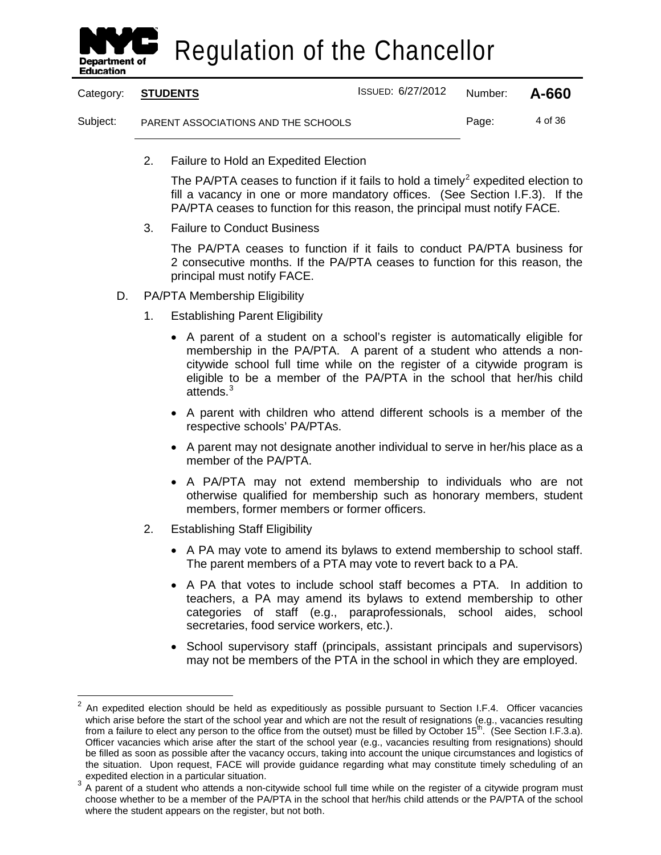

|          | Category: STUDENTS                  | <b>ISSUED: 6/27/2012</b> | Number: | A-660   |
|----------|-------------------------------------|--------------------------|---------|---------|
| Subject: | PARENT ASSOCIATIONS AND THE SCHOOLS |                          | Page:   | 4 of 36 |

2. Failure to Hold an Expedited Election

The PA/PTA ceases to function if it fails to hold a timely<sup>[2](#page-10-0)</sup> expedited election to fill a vacancy in one or more mandatory offices. (See Section I.F.3). If the PA/PTA ceases to function for this reason, the principal must notify FACE.

3. Failure to Conduct Business

The PA/PTA ceases to function if it fails to conduct PA/PTA business for 2 consecutive months. If the PA/PTA ceases to function for this reason, the principal must notify FACE.

- D. PA/PTA Membership Eligibility
	- 1. Establishing Parent Eligibility
		- A parent of a student on a school's register is automatically eligible for membership in the PA/PTA. A parent of a student who attends a noncitywide school full time while on the register of a citywide program is eligible to be a member of the PA/PTA in the school that her/his child attends.<sup>[3](#page-10-1)</sup>
		- A parent with children who attend different schools is a member of the respective schools' PA/PTAs.
		- A parent may not designate another individual to serve in her/his place as a member of the PA/PTA.
		- A PA/PTA may not extend membership to individuals who are not otherwise qualified for membership such as honorary members, student members, former members or former officers.
	- 2. Establishing Staff Eligibility
		- A PA may vote to amend its bylaws to extend membership to school staff. The parent members of a PTA may vote to revert back to a PA.
		- A PA that votes to include school staff becomes a PTA. In addition to teachers, a PA may amend its bylaws to extend membership to other categories of staff (e.g., paraprofessionals, school aides, school secretaries, food service workers, etc.).
		- School supervisory staff (principals, assistant principals and supervisors) may not be members of the PTA in the school in which they are employed.

<span id="page-10-0"></span> <sup>2</sup> An expedited election should be held as expeditiously as possible pursuant to Section I.F.4. Officer vacancies which arise before the start of the school year and which are not the result of resignations (e.g., vacancies resulting from a failure to elect any person to the office from the outset) must be filled by October  $15<sup>th</sup>$ . (See Section I.F.3.a). Officer vacancies which arise after the start of the school year (e.g., vacancies resulting from resignations) should be filled as soon as possible after the vacancy occurs, taking into account the unique circumstances and logistics of the situation. Upon request, FACE will provide guidance regarding what may constitute timely scheduling of an expedited election in a particular situation.

<span id="page-10-1"></span>a particular situation in a particular situation. 3 A particular situation in a particular situation of a student who attends a non-citywide school full time while on the register of a citywide program must choose whether to be a member of the PA/PTA in the school that her/his child attends or the PA/PTA of the school where the student appears on the register, but not both.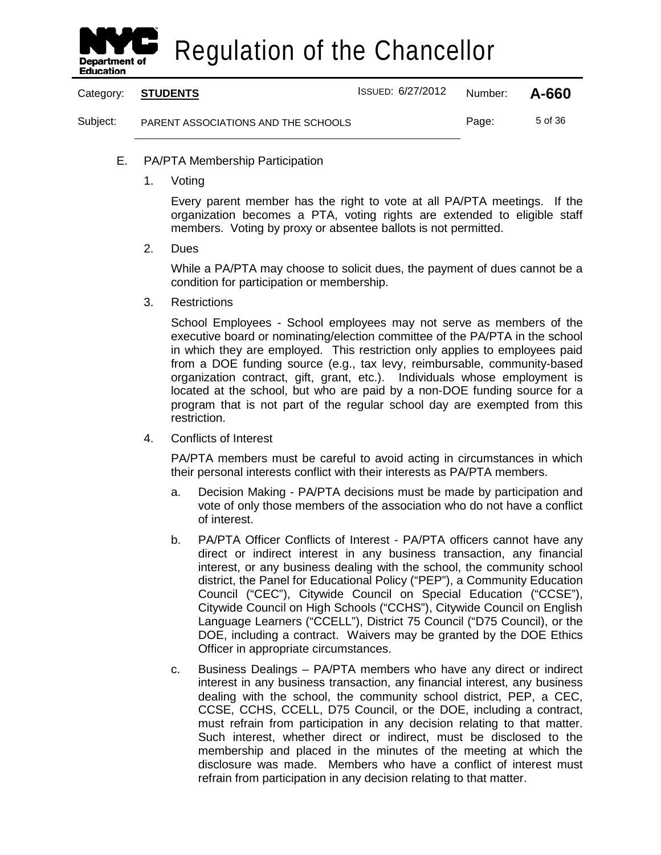

|          | Category: STUDENTS                  | ISSUED: 6/27/2012 | Number: | A-660   |
|----------|-------------------------------------|-------------------|---------|---------|
| Subject: | PARENT ASSOCIATIONS AND THE SCHOOLS |                   | Page:   | 5 of 36 |

- E. PA/PTA Membership Participation
	- 1. Voting

Every parent member has the right to vote at all PA/PTA meetings. If the organization becomes a PTA, voting rights are extended to eligible staff members. Voting by proxy or absentee ballots is not permitted.

2. Dues

While a PA/PTA may choose to solicit dues, the payment of dues cannot be a condition for participation or membership.

3. Restrictions

School Employees - School employees may not serve as members of the executive board or nominating/election committee of the PA/PTA in the school in which they are employed. This restriction only applies to employees paid from a DOE funding source (e.g., tax levy, reimbursable, community-based organization contract, gift, grant, etc.). Individuals whose employment is located at the school, but who are paid by a non-DOE funding source for a program that is not part of the regular school day are exempted from this restriction.

4. Conflicts of Interest

PA/PTA members must be careful to avoid acting in circumstances in which their personal interests conflict with their interests as PA/PTA members.

- a. Decision Making PA/PTA decisions must be made by participation and vote of only those members of the association who do not have a conflict of interest.
- b. PA/PTA Officer Conflicts of Interest PA/PTA officers cannot have any direct or indirect interest in any business transaction, any financial interest, or any business dealing with the school, the community school district, the Panel for Educational Policy ("PEP"), a Community Education Council ("CEC"), Citywide Council on Special Education ("CCSE"), Citywide Council on High Schools ("CCHS"), Citywide Council on English Language Learners ("CCELL"), District 75 Council ("D75 Council), or the DOE, including a contract. Waivers may be granted by the DOE Ethics Officer in appropriate circumstances.
- c. Business Dealings PA/PTA members who have any direct or indirect interest in any business transaction, any financial interest, any business dealing with the school, the community school district, PEP, a CEC, CCSE, CCHS, CCELL, D75 Council, or the DOE, including a contract, must refrain from participation in any decision relating to that matter. Such interest, whether direct or indirect, must be disclosed to the membership and placed in the minutes of the meeting at which the disclosure was made. Members who have a conflict of interest must refrain from participation in any decision relating to that matter.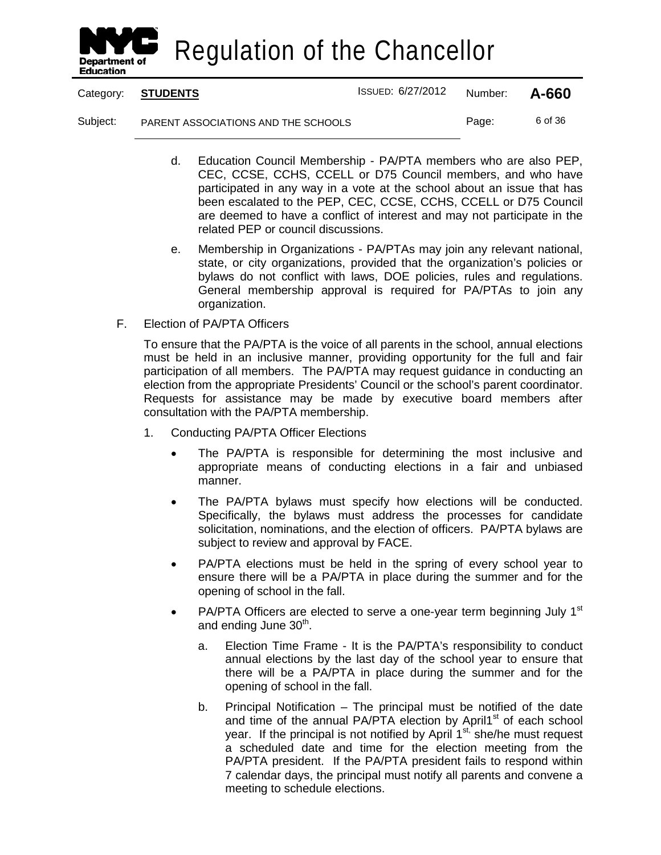

Category: **STUDENTS** ISSUED: 6/27/2012 Number: **A-660**

Subject: PARENT ASSOCIATIONS AND THE SCHOOLS Page: 6 of 36

- d. Education Council Membership PA/PTA members who are also PEP, CEC, CCSE, CCHS, CCELL or D75 Council members, and who have participated in any way in a vote at the school about an issue that has been escalated to the PEP, CEC, CCSE, CCHS, CCELL or D75 Council are deemed to have a conflict of interest and may not participate in the related PEP or council discussions.
- e. Membership in Organizations PA/PTAs may join any relevant national, state, or city organizations, provided that the organization's policies or bylaws do not conflict with laws, DOE policies, rules and regulations. General membership approval is required for PA/PTAs to join any organization.
- F. Election of PA/PTA Officers

To ensure that the PA/PTA is the voice of all parents in the school, annual elections must be held in an inclusive manner, providing opportunity for the full and fair participation of all members. The PA/PTA may request guidance in conducting an election from the appropriate Presidents' Council or the school's parent coordinator. Requests for assistance may be made by executive board members after consultation with the PA/PTA membership.

- 1. Conducting PA/PTA Officer Elections
	- The PA/PTA is responsible for determining the most inclusive and appropriate means of conducting elections in a fair and unbiased manner.
	- The PA/PTA bylaws must specify how elections will be conducted. Specifically, the bylaws must address the processes for candidate solicitation, nominations, and the election of officers. PA/PTA bylaws are subject to review and approval by FACE.
	- PA/PTA elections must be held in the spring of every school year to ensure there will be a PA/PTA in place during the summer and for the opening of school in the fall.
	- PA/PTA Officers are elected to serve a one-year term beginning July  $1<sup>st</sup>$ and ending June  $30<sup>th</sup>$ .
		- a. Election Time Frame It is the PA/PTA's responsibility to conduct annual elections by the last day of the school year to ensure that there will be a PA/PTA in place during the summer and for the opening of school in the fall.
		- b. Principal Notification The principal must be notified of the date and time of the annual PA/PTA election by April1<sup>st</sup> of each school year. If the principal is not notified by April  $1^{st}$ , she/he must request a scheduled date and time for the election meeting from the PA/PTA president. If the PA/PTA president fails to respond within 7 calendar days, the principal must notify all parents and convene a meeting to schedule elections.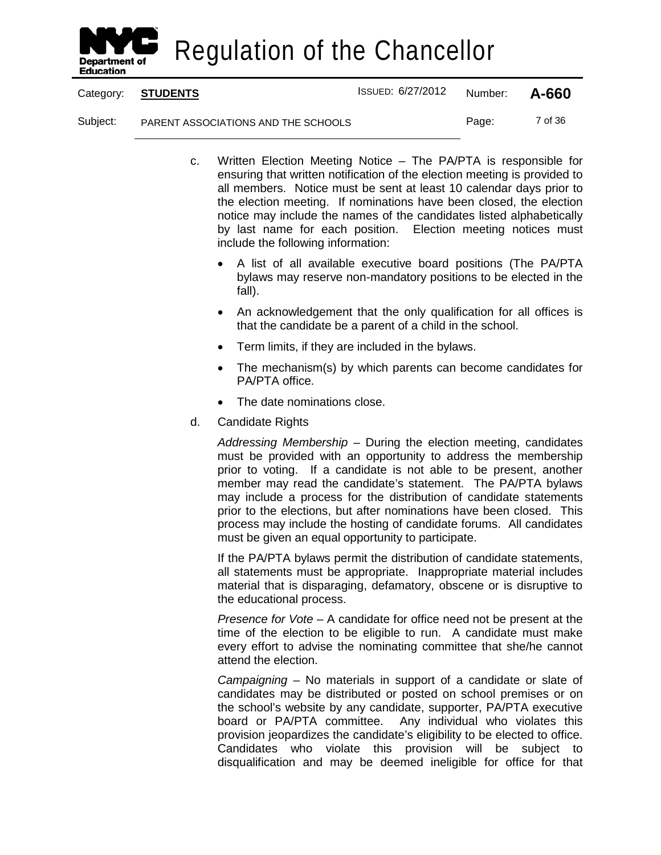

Category: **STUDENTS** ISSUED: 6/27/2012 Number: **A-660**

Subject: PARENT ASSOCIATIONS AND THE SCHOOLS Page: 7 of 36

- c. Written Election Meeting Notice The PA/PTA is responsible for ensuring that written notification of the election meeting is provided to all members. Notice must be sent at least 10 calendar days prior to the election meeting. If nominations have been closed, the election notice may include the names of the candidates listed alphabetically by last name for each position. Election meeting notices must include the following information:
	- A list of all available executive board positions (The PA/PTA bylaws may reserve non-mandatory positions to be elected in the fall).
	- An acknowledgement that the only qualification for all offices is that the candidate be a parent of a child in the school.
	- Term limits, if they are included in the bylaws.
	- The mechanism(s) by which parents can become candidates for PA/PTA office.
	- The date nominations close.
- d. Candidate Rights

*Addressing Membership* – During the election meeting, candidates must be provided with an opportunity to address the membership prior to voting. If a candidate is not able to be present, another member may read the candidate's statement. The PA/PTA bylaws may include a process for the distribution of candidate statements prior to the elections, but after nominations have been closed. This process may include the hosting of candidate forums. All candidates must be given an equal opportunity to participate.

If the PA/PTA bylaws permit the distribution of candidate statements, all statements must be appropriate. Inappropriate material includes material that is disparaging, defamatory, obscene or is disruptive to the educational process.

*Presence for Vote* – A candidate for office need not be present at the time of the election to be eligible to run. A candidate must make every effort to advise the nominating committee that she/he cannot attend the election.

*Campaigning* – No materials in support of a candidate or slate of candidates may be distributed or posted on school premises or on the school's website by any candidate, supporter, PA/PTA executive board or PA/PTA committee. Any individual who violates this provision jeopardizes the candidate's eligibility to be elected to office. Candidates who violate this provision will be subject to disqualification and may be deemed ineligible for office for that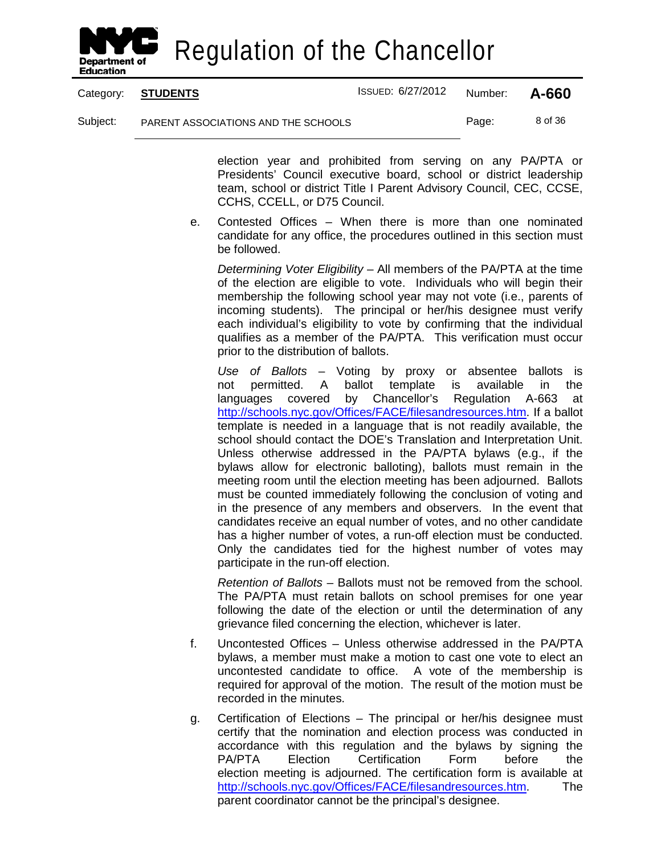

Category: **STUDENTS** ISSUED: 6/27/2012 Number: **A-660**

Subject: PARENT ASSOCIATIONS AND THE SCHOOLS Page: 8 of 36

election year and prohibited from serving on any PA/PTA or Presidents' Council executive board, school or district leadership team, school or district Title I Parent Advisory Council, CEC, CCSE, CCHS, CCELL, or D75 Council.

e. Contested Offices – When there is more than one nominated candidate for any office, the procedures outlined in this section must be followed.

*Determining Voter Eligibility* – All members of the PA/PTA at the time of the election are eligible to vote. Individuals who will begin their membership the following school year may not vote (i.e., parents of incoming students). The principal or her/his designee must verify each individual's eligibility to vote by confirming that the individual qualifies as a member of the PA/PTA. This verification must occur prior to the distribution of ballots.

*Use of Ballots* – Voting by proxy or absentee ballots is not permitted. A ballot template is available in the languages covered by Chancellor's Regulation A-663 at [http://schools.nyc.gov/Offices/FACE/filesandresources.htm.](http://schools.nyc.gov/Offices/FACE/filesandresources.htm) If a ballot template is needed in a language that is not readily available, the school should contact the DOE's Translation and Interpretation Unit. Unless otherwise addressed in the PA/PTA bylaws (e.g., if the bylaws allow for electronic balloting), ballots must remain in the meeting room until the election meeting has been adjourned. Ballots must be counted immediately following the conclusion of voting and in the presence of any members and observers. In the event that candidates receive an equal number of votes, and no other candidate has a higher number of votes, a run-off election must be conducted. Only the candidates tied for the highest number of votes may participate in the run-off election.

*Retention of Ballots* – Ballots must not be removed from the school. The PA/PTA must retain ballots on school premises for one year following the date of the election or until the determination of any grievance filed concerning the election, whichever is later.

- f. Uncontested Offices Unless otherwise addressed in the PA/PTA bylaws, a member must make a motion to cast one vote to elect an uncontested candidate to office. A vote of the membership is required for approval of the motion. The result of the motion must be recorded in the minutes.
- g. Certification of Elections The principal or her/his designee must certify that the nomination and election process was conducted in accordance with this regulation and the bylaws by signing the PA/PTA Election Certification Form before the election meeting is adjourned. The certification form is available at [http://schools.nyc.gov/Offices/FACE/filesandresources.htm.](http://schools.nyc.gov/Offices/FACE/filesandresources.htm) The parent coordinator cannot be the principal's designee.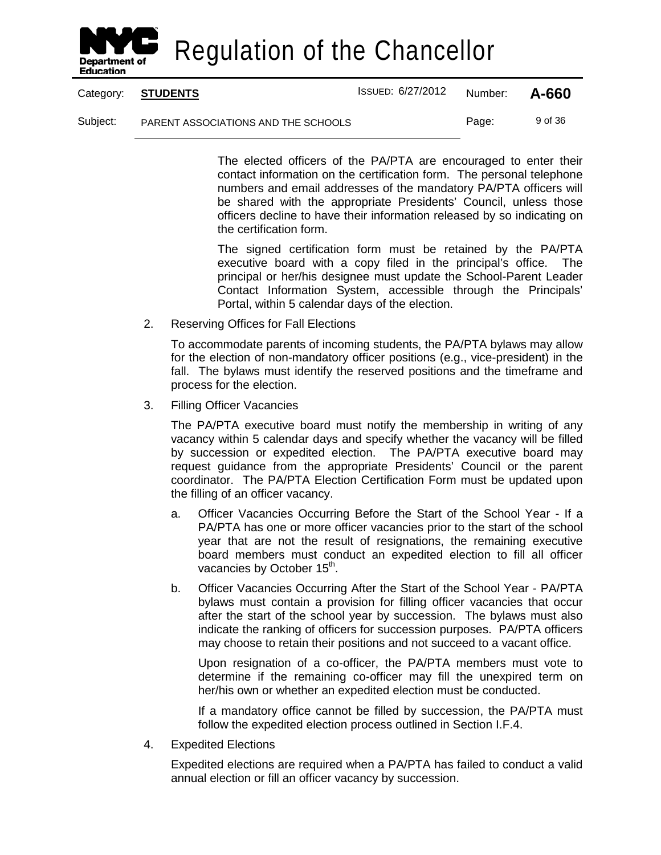

Category: **STUDENTS** ISSUED: 6/27/2012 Number: **A-660**

Subject: PARENT ASSOCIATIONS AND THE SCHOOLS Page: 9 of 36

The elected officers of the PA/PTA are encouraged to enter their contact information on the certification form. The personal telephone numbers and email addresses of the mandatory PA/PTA officers will be shared with the appropriate Presidents' Council, unless those officers decline to have their information released by so indicating on the certification form.

The signed certification form must be retained by the PA/PTA executive board with a copy filed in the principal's office. The principal or her/his designee must update the School-Parent Leader Contact Information System, accessible through the Principals' Portal, within 5 calendar days of the election.

2. Reserving Offices for Fall Elections

To accommodate parents of incoming students, the PA/PTA bylaws may allow for the election of non-mandatory officer positions (e.g., vice-president) in the fall. The bylaws must identify the reserved positions and the timeframe and process for the election.

3. Filling Officer Vacancies

The PA/PTA executive board must notify the membership in writing of any vacancy within 5 calendar days and specify whether the vacancy will be filled by succession or expedited election. The PA/PTA executive board may request guidance from the appropriate Presidents' Council or the parent coordinator. The PA/PTA Election Certification Form must be updated upon the filling of an officer vacancy.

- a. Officer Vacancies Occurring Before the Start of the School Year If a PA/PTA has one or more officer vacancies prior to the start of the school year that are not the result of resignations, the remaining executive board members must conduct an expedited election to fill all officer vacancies by October 15<sup>th</sup>.
- b. Officer Vacancies Occurring After the Start of the School Year PA/PTA bylaws must contain a provision for filling officer vacancies that occur after the start of the school year by succession. The bylaws must also indicate the ranking of officers for succession purposes. PA/PTA officers may choose to retain their positions and not succeed to a vacant office.

Upon resignation of a co-officer, the PA/PTA members must vote to determine if the remaining co-officer may fill the unexpired term on her/his own or whether an expedited election must be conducted.

If a mandatory office cannot be filled by succession, the PA/PTA must follow the expedited election process outlined in Section I.F.4.

4. Expedited Elections

Expedited elections are required when a PA/PTA has failed to conduct a valid annual election or fill an officer vacancy by succession.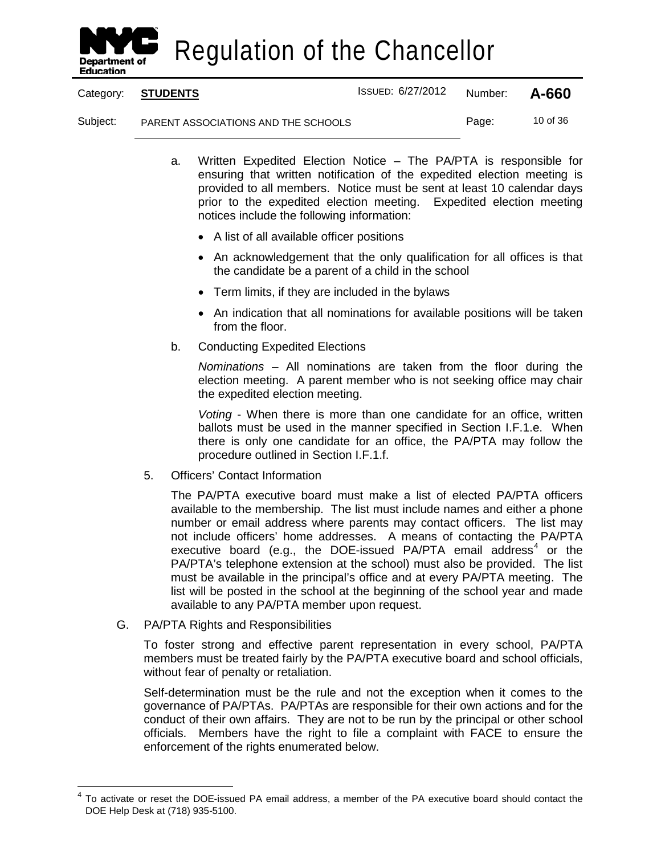

Category: **STUDENTS** ISSUED: 6/27/2012 Number: **A-660**

Subject: PARENT ASSOCIATIONS AND THE SCHOOLS Page: 10 of 36

- a. Written Expedited Election Notice The PA/PTA is responsible for ensuring that written notification of the expedited election meeting is provided to all members. Notice must be sent at least 10 calendar days prior to the expedited election meeting. Expedited election meeting notices include the following information:
	- A list of all available officer positions
	- An acknowledgement that the only qualification for all offices is that the candidate be a parent of a child in the school
	- Term limits, if they are included in the bylaws
	- An indication that all nominations for available positions will be taken from the floor.
- b. Conducting Expedited Elections

*Nominations* – All nominations are taken from the floor during the election meeting. A parent member who is not seeking office may chair the expedited election meeting.

*Voting* - When there is more than one candidate for an office, written ballots must be used in the manner specified in Section I.F.1.e. When there is only one candidate for an office, the PA/PTA may follow the procedure outlined in Section I.F.1.f.

5. Officers' Contact Information

The PA/PTA executive board must make a list of elected PA/PTA officers available to the membership. The list must include names and either a phone number or email address where parents may contact officers. The list may not include officers' home addresses. A means of contacting the PA/PTA executive board (e.g., the DOE-issued PA/PTA email address<sup>[4](#page-16-0)</sup> or the PA/PTA's telephone extension at the school) must also be provided. The list must be available in the principal's office and at every PA/PTA meeting. The list will be posted in the school at the beginning of the school year and made available to any PA/PTA member upon request.

G. PA/PTA Rights and Responsibilities

To foster strong and effective parent representation in every school, PA/PTA members must be treated fairly by the PA/PTA executive board and school officials, without fear of penalty or retaliation.

Self-determination must be the rule and not the exception when it comes to the governance of PA/PTAs. PA/PTAs are responsible for their own actions and for the conduct of their own affairs. They are not to be run by the principal or other school officials. Members have the right to file a complaint with FACE to ensure the enforcement of the rights enumerated below.

<span id="page-16-0"></span> <sup>4</sup> To activate or reset the DOE-issued PA email address, a member of the PA executive board should contact the DOE Help Desk at (718) 935-5100.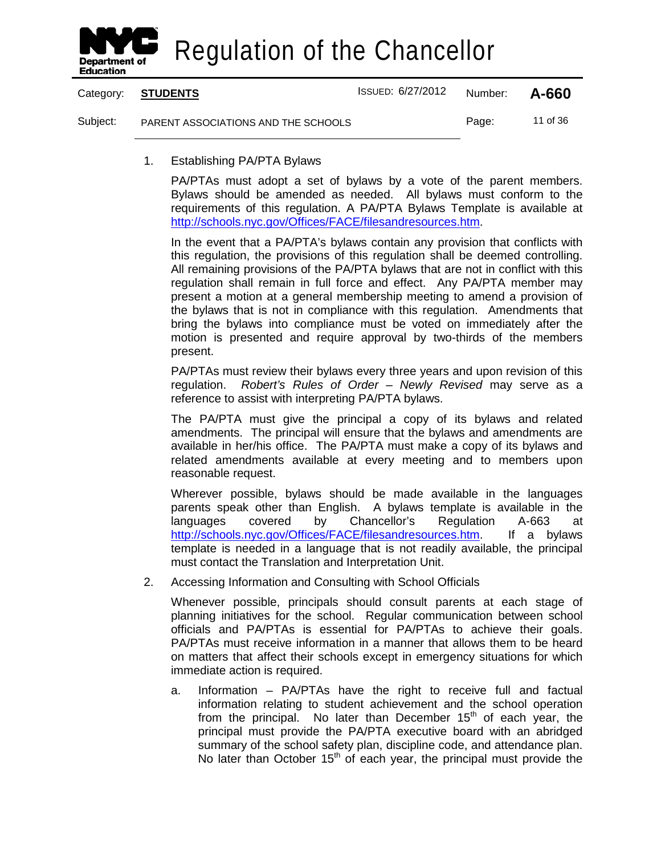

Category: **STUDENTS** ISSUED: 6/27/2012 Number: **A-660** Subject: PARENT ASSOCIATIONS AND THE SCHOOLS Page: 11 of 36

1. Establishing PA/PTA Bylaws

PA/PTAs must adopt a set of bylaws by a vote of the parent members. Bylaws should be amended as needed. All bylaws must conform to the requirements of this regulation. A PA/PTA Bylaws Template is available at [http://schools.nyc.gov/Offices/FACE/filesandresources.htm.](http://schools.nyc.gov/Offices/FACE/filesandresources.htm)

In the event that a PA/PTA's bylaws contain any provision that conflicts with this regulation, the provisions of this regulation shall be deemed controlling. All remaining provisions of the PA/PTA bylaws that are not in conflict with this regulation shall remain in full force and effect. Any PA/PTA member may present a motion at a general membership meeting to amend a provision of the bylaws that is not in compliance with this regulation. Amendments that bring the bylaws into compliance must be voted on immediately after the motion is presented and require approval by two-thirds of the members present.

PA/PTAs must review their bylaws every three years and upon revision of this regulation. *Robert's Rules of Order – Newly Revised* may serve as a reference to assist with interpreting PA/PTA bylaws.

The PA/PTA must give the principal a copy of its bylaws and related amendments. The principal will ensure that the bylaws and amendments are available in her/his office. The PA/PTA must make a copy of its bylaws and related amendments available at every meeting and to members upon reasonable request.

Wherever possible, bylaws should be made available in the languages parents speak other than English. A bylaws template is available in the languages covered by Chancellor's Regulation A-663 at [http://schools.nyc.gov/Offices/FACE/filesandresources.htm.](http://schools.nyc.gov/Offices/FACE/filesandresources.htm) If a bylaws template is needed in a language that is not readily available, the principal must contact the Translation and Interpretation Unit.

2. Accessing Information and Consulting with School Officials

Whenever possible, principals should consult parents at each stage of planning initiatives for the school. Regular communication between school officials and PA/PTAs is essential for PA/PTAs to achieve their goals. PA/PTAs must receive information in a manner that allows them to be heard on matters that affect their schools except in emergency situations for which immediate action is required.

a. Information – PA/PTAs have the right to receive full and factual information relating to student achievement and the school operation from the principal. No later than December  $15<sup>th</sup>$  of each year, the principal must provide the PA/PTA executive board with an abridged summary of the school safety plan, discipline code, and attendance plan. No later than October  $15<sup>th</sup>$  of each year, the principal must provide the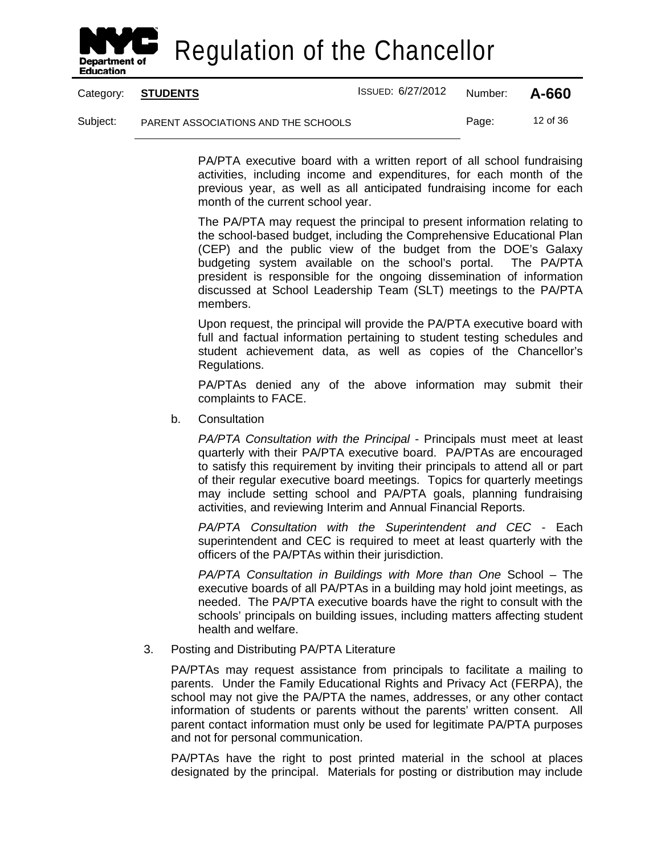

|          | Category: STUDENTS                  | <b>ISSUED: 6/27/2012</b> | Number: | A-660    |
|----------|-------------------------------------|--------------------------|---------|----------|
| Subject: | PARENT ASSOCIATIONS AND THE SCHOOLS |                          | Page:   | 12 of 36 |

PA/PTA executive board with a written report of all school fundraising activities, including income and expenditures, for each month of the previous year, as well as all anticipated fundraising income for each month of the current school year.

The PA/PTA may request the principal to present information relating to the school-based budget, including the Comprehensive Educational Plan (CEP) and the public view of the budget from the DOE's Galaxy budgeting system available on the school's portal. The PA/PTA president is responsible for the ongoing dissemination of information discussed at School Leadership Team (SLT) meetings to the PA/PTA members.

Upon request, the principal will provide the PA/PTA executive board with full and factual information pertaining to student testing schedules and student achievement data, as well as copies of the Chancellor's Regulations.

PA/PTAs denied any of the above information may submit their complaints to FACE.

b. Consultation

*PA/PTA Consultation with the Principal* - Principals must meet at least quarterly with their PA/PTA executive board. PA/PTAs are encouraged to satisfy this requirement by inviting their principals to attend all or part of their regular executive board meetings. Topics for quarterly meetings may include setting school and PA/PTA goals, planning fundraising activities, and reviewing Interim and Annual Financial Reports.

*PA/PTA Consultation with the Superintendent and CEC* - Each superintendent and CEC is required to meet at least quarterly with the officers of the PA/PTAs within their jurisdiction.

*PA/PTA Consultation in Buildings with More than One* School – The executive boards of all PA/PTAs in a building may hold joint meetings, as needed. The PA/PTA executive boards have the right to consult with the schools' principals on building issues, including matters affecting student health and welfare.

3. Posting and Distributing PA/PTA Literature

PA/PTAs may request assistance from principals to facilitate a mailing to parents. Under the Family Educational Rights and Privacy Act (FERPA), the school may not give the PA/PTA the names, addresses, or any other contact information of students or parents without the parents' written consent. All parent contact information must only be used for legitimate PA/PTA purposes and not for personal communication.

PA/PTAs have the right to post printed material in the school at places designated by the principal. Materials for posting or distribution may include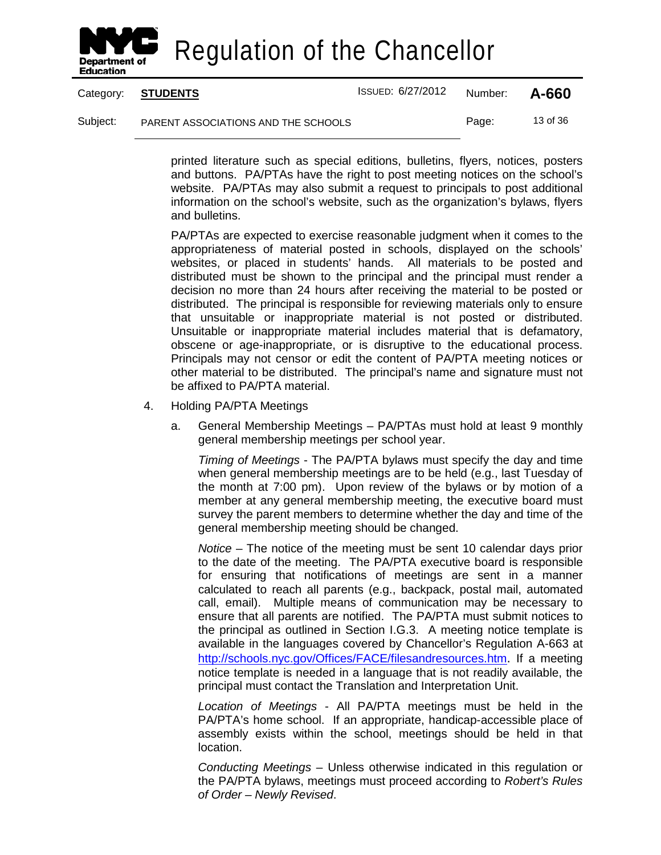

Category: **STUDENTS** ISSUED: 6/27/2012 Number: **A-660** Subject: PARENT ASSOCIATIONS AND THE SCHOOLS Page: 13 of 36

> printed literature such as special editions, bulletins, flyers, notices, posters and buttons. PA/PTAs have the right to post meeting notices on the school's website. PA/PTAs may also submit a request to principals to post additional information on the school's website, such as the organization's bylaws, flyers and bulletins.

> PA/PTAs are expected to exercise reasonable judgment when it comes to the appropriateness of material posted in schools, displayed on the schools' websites, or placed in students' hands. All materials to be posted and distributed must be shown to the principal and the principal must render a decision no more than 24 hours after receiving the material to be posted or distributed. The principal is responsible for reviewing materials only to ensure that unsuitable or inappropriate material is not posted or distributed. Unsuitable or inappropriate material includes material that is defamatory, obscene or age-inappropriate, or is disruptive to the educational process. Principals may not censor or edit the content of PA/PTA meeting notices or other material to be distributed. The principal's name and signature must not be affixed to PA/PTA material.

- 4. Holding PA/PTA Meetings
	- a. General Membership Meetings PA/PTAs must hold at least 9 monthly general membership meetings per school year.

*Timing of Meetings* - The PA/PTA bylaws must specify the day and time when general membership meetings are to be held (e.g., last Tuesday of the month at 7:00 pm). Upon review of the bylaws or by motion of a member at any general membership meeting, the executive board must survey the parent members to determine whether the day and time of the general membership meeting should be changed.

*Notice* – The notice of the meeting must be sent 10 calendar days prior to the date of the meeting. The PA/PTA executive board is responsible for ensuring that notifications of meetings are sent in a manner calculated to reach all parents (e.g., backpack, postal mail, automated call, email). Multiple means of communication may be necessary to ensure that all parents are notified. The PA/PTA must submit notices to the principal as outlined in Section I.G.3. A meeting notice template is available in the languages covered by Chancellor's Regulation A-663 at [http://schools.nyc.gov/Offices/FACE/filesandresources.htm.](http://schools.nyc.gov/Offices/FACE/filesandresources.htm) If a meeting notice template is needed in a language that is not readily available, the principal must contact the Translation and Interpretation Unit.

*Location of Meetings* - All PA/PTA meetings must be held in the PA/PTA's home school. If an appropriate, handicap-accessible place of assembly exists within the school, meetings should be held in that location.

*Conducting Meetings* – Unless otherwise indicated in this regulation or the PA/PTA bylaws, meetings must proceed according to *Robert's Rules of Order – Newly Revised*.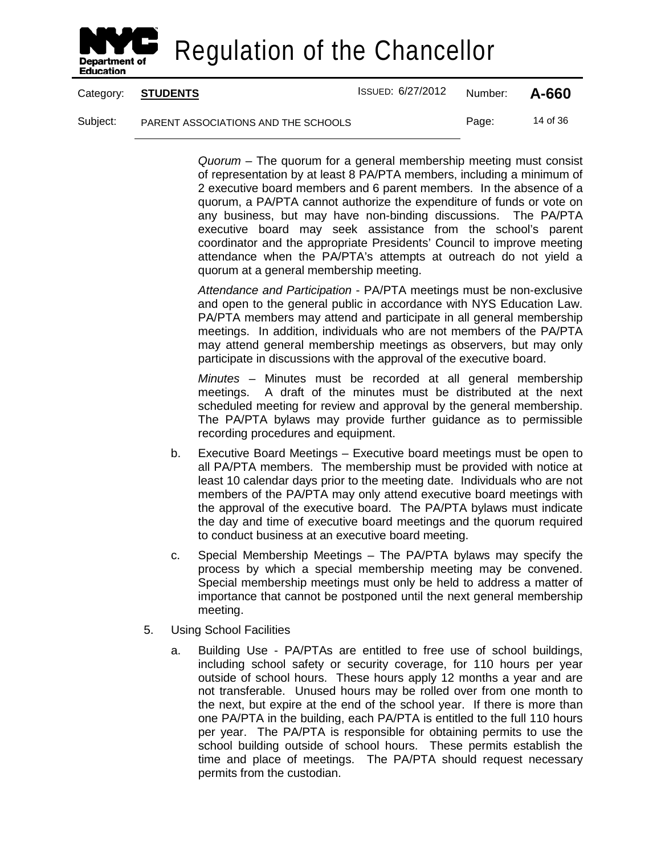

Category: **STUDENTS** ISSUED: 6/27/2012 Number: **A-660**

Subject: PARENT ASSOCIATIONS AND THE SCHOOLS Page: 14 of 36

*Quorum* – The quorum for a general membership meeting must consist of representation by at least 8 PA/PTA members, including a minimum of 2 executive board members and 6 parent members. In the absence of a quorum, a PA/PTA cannot authorize the expenditure of funds or vote on any business, but may have non-binding discussions. The PA/PTA executive board may seek assistance from the school's parent coordinator and the appropriate Presidents' Council to improve meeting attendance when the PA/PTA's attempts at outreach do not yield a quorum at a general membership meeting.

*Attendance and Participation* - PA/PTA meetings must be non-exclusive and open to the general public in accordance with NYS Education Law. PA/PTA members may attend and participate in all general membership meetings. In addition, individuals who are not members of the PA/PTA may attend general membership meetings as observers, but may only participate in discussions with the approval of the executive board.

*Minutes* – Minutes must be recorded at all general membership meetings. A draft of the minutes must be distributed at the next scheduled meeting for review and approval by the general membership. The PA/PTA bylaws may provide further guidance as to permissible recording procedures and equipment.

- b. Executive Board Meetings Executive board meetings must be open to all PA/PTA members. The membership must be provided with notice at least 10 calendar days prior to the meeting date. Individuals who are not members of the PA/PTA may only attend executive board meetings with the approval of the executive board. The PA/PTA bylaws must indicate the day and time of executive board meetings and the quorum required to conduct business at an executive board meeting.
- c. Special Membership Meetings The PA/PTA bylaws may specify the process by which a special membership meeting may be convened. Special membership meetings must only be held to address a matter of importance that cannot be postponed until the next general membership meeting.
- 5. Using School Facilities
	- a. Building Use PA/PTAs are entitled to free use of school buildings, including school safety or security coverage, for 110 hours per year outside of school hours. These hours apply 12 months a year and are not transferable. Unused hours may be rolled over from one month to the next, but expire at the end of the school year. If there is more than one PA/PTA in the building, each PA/PTA is entitled to the full 110 hours per year. The PA/PTA is responsible for obtaining permits to use the school building outside of school hours. These permits establish the time and place of meetings. The PA/PTA should request necessary permits from the custodian.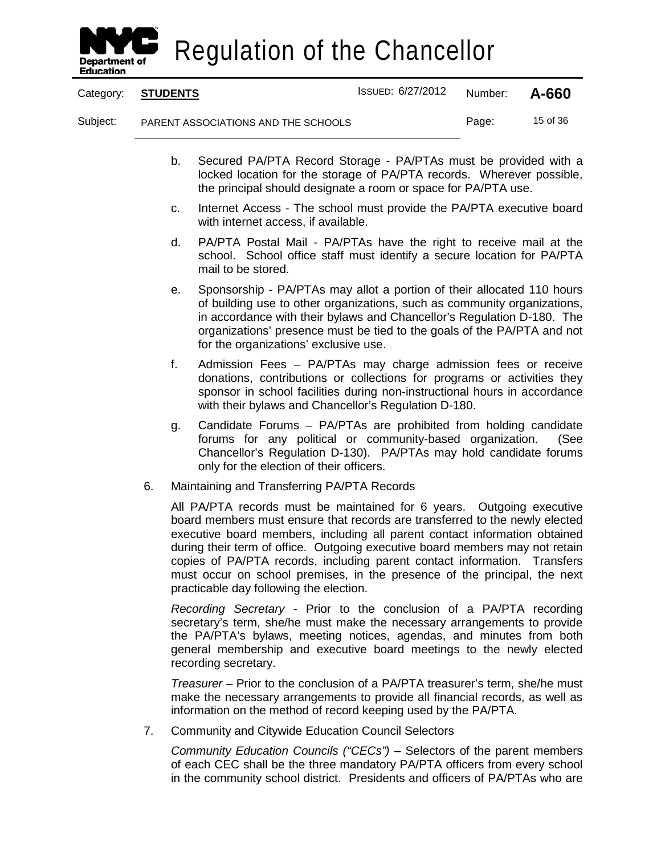

|          | Category: STUDENTS                  | ISSUED: 6/27/2012 | Number: | A-660    |
|----------|-------------------------------------|-------------------|---------|----------|
| Subject: | PARENT ASSOCIATIONS AND THE SCHOOLS |                   | Page:   | 15 of 36 |

- b. Secured PA/PTA Record Storage PA/PTAs must be provided with a locked location for the storage of PA/PTA records. Wherever possible, the principal should designate a room or space for PA/PTA use.
- c. Internet Access The school must provide the PA/PTA executive board with internet access, if available.
- d. PA/PTA Postal Mail PA/PTAs have the right to receive mail at the school. School office staff must identify a secure location for PA/PTA mail to be stored.
- e. Sponsorship PA/PTAs may allot a portion of their allocated 110 hours of building use to other organizations, such as community organizations, in accordance with their bylaws and Chancellor's Regulation D-180. The organizations' presence must be tied to the goals of the PA/PTA and not for the organizations' exclusive use.
- f. Admission Fees PA/PTAs may charge admission fees or receive donations, contributions or collections for programs or activities they sponsor in school facilities during non-instructional hours in accordance with their bylaws and Chancellor's Regulation D-180.
- g. Candidate Forums PA/PTAs are prohibited from holding candidate forums for any political or community-based organization. (See Chancellor's Regulation D-130). PA/PTAs may hold candidate forums only for the election of their officers.
- 6. Maintaining and Transferring PA/PTA Records

All PA/PTA records must be maintained for 6 years. Outgoing executive board members must ensure that records are transferred to the newly elected executive board members, including all parent contact information obtained during their term of office. Outgoing executive board members may not retain copies of PA/PTA records, including parent contact information. Transfers must occur on school premises, in the presence of the principal, the next practicable day following the election.

*Recording Secretary* - Prior to the conclusion of a PA/PTA recording secretary's term, she/he must make the necessary arrangements to provide the PA/PTA's bylaws, meeting notices, agendas, and minutes from both general membership and executive board meetings to the newly elected recording secretary.

*Treasurer* – Prior to the conclusion of a PA/PTA treasurer's term, she/he must make the necessary arrangements to provide all financial records, as well as information on the method of record keeping used by the PA/PTA.

7. Community and Citywide Education Council Selectors

*Community Education Councils ("CECs")* – Selectors of the parent members of each CEC shall be the three mandatory PA/PTA officers from every school in the community school district. Presidents and officers of PA/PTAs who are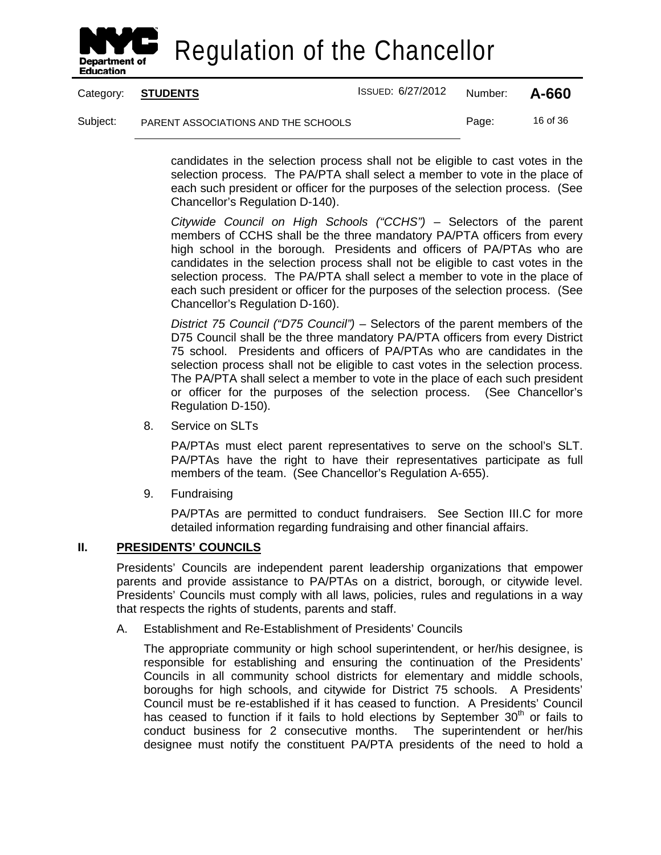

|          | Category: STUDENTS                  | ISSUED: 6/27/2012 | Number: | A-660    |
|----------|-------------------------------------|-------------------|---------|----------|
| Subject: | PARENT ASSOCIATIONS AND THE SCHOOLS |                   | Page:   | 16 of 36 |

candidates in the selection process shall not be eligible to cast votes in the selection process. The PA/PTA shall select a member to vote in the place of each such president or officer for the purposes of the selection process. (See Chancellor's Regulation D-140).

*Citywide Council on High Schools ("CCHS")* – Selectors of the parent members of CCHS shall be the three mandatory PA/PTA officers from every high school in the borough. Presidents and officers of PA/PTAs who are candidates in the selection process shall not be eligible to cast votes in the selection process. The PA/PTA shall select a member to vote in the place of each such president or officer for the purposes of the selection process. (See Chancellor's Regulation D-160).

*District 75 Council ("D75 Council")* – Selectors of the parent members of the D75 Council shall be the three mandatory PA/PTA officers from every District 75 school. Presidents and officers of PA/PTAs who are candidates in the selection process shall not be eligible to cast votes in the selection process. The PA/PTA shall select a member to vote in the place of each such president or officer for the purposes of the selection process. (See Chancellor's Regulation D-150).

8. Service on SLTs

PA/PTAs must elect parent representatives to serve on the school's SLT. PA/PTAs have the right to have their representatives participate as full members of the team. (See Chancellor's Regulation A-655).

9. Fundraising

PA/PTAs are permitted to conduct fundraisers. See Section III.C for more detailed information regarding fundraising and other financial affairs.

#### **II. PRESIDENTS' COUNCILS**

Presidents' Councils are independent parent leadership organizations that empower parents and provide assistance to PA/PTAs on a district, borough, or citywide level. Presidents' Councils must comply with all laws, policies, rules and regulations in a way that respects the rights of students, parents and staff.

A. Establishment and Re-Establishment of Presidents' Councils

The appropriate community or high school superintendent, or her/his designee, is responsible for establishing and ensuring the continuation of the Presidents' Councils in all community school districts for elementary and middle schools, boroughs for high schools, and citywide for District 75 schools. A Presidents' Council must be re-established if it has ceased to function. A Presidents' Council has ceased to function if it fails to hold elections by September  $30<sup>th</sup>$  or fails to conduct business for 2 consecutive months. The superintendent or her/his designee must notify the constituent PA/PTA presidents of the need to hold a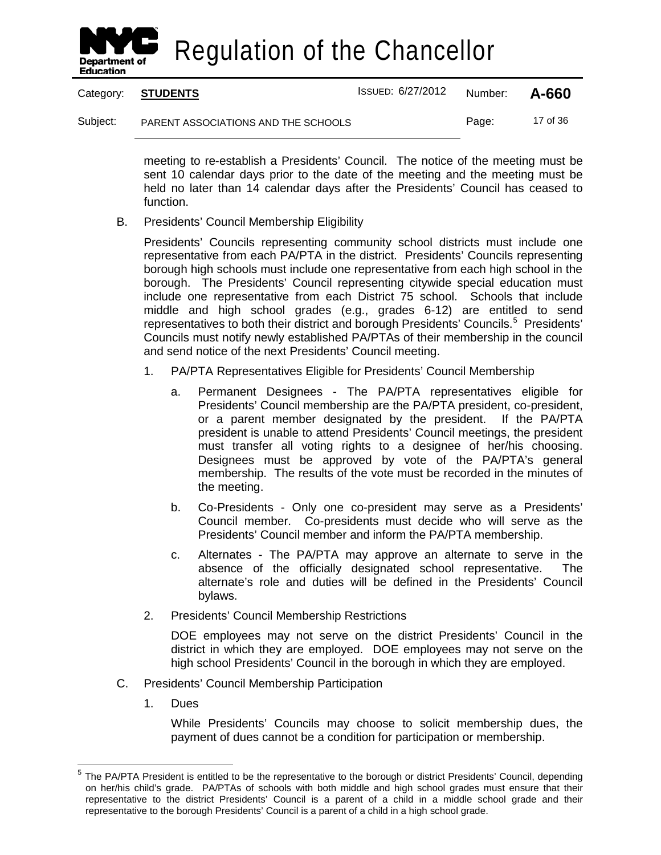

Category: **STUDENTS** ISSUED: 6/27/2012 Number: **A-660** Subject: PARENT ASSOCIATIONS AND THE SCHOOLS Page: 17 of 36

> meeting to re-establish a Presidents' Council. The notice of the meeting must be sent 10 calendar days prior to the date of the meeting and the meeting must be held no later than 14 calendar days after the Presidents' Council has ceased to function.

B. Presidents' Council Membership Eligibility

Presidents' Councils representing community school districts must include one representative from each PA/PTA in the district. Presidents' Councils representing borough high schools must include one representative from each high school in the borough. The Presidents' Council representing citywide special education must include one representative from each District 75 school. Schools that include middle and high school grades (e.g., grades 6-12) are entitled to send representatives to both their district and borough Presidents' Councils.<sup>[5](#page-23-0)</sup> Presidents' Councils must notify newly established PA/PTAs of their membership in the council and send notice of the next Presidents' Council meeting.

- 1. PA/PTA Representatives Eligible for Presidents' Council Membership
	- a. Permanent Designees The PA/PTA representatives eligible for Presidents' Council membership are the PA/PTA president, co-president, or a parent member designated by the president. If the PA/PTA president is unable to attend Presidents' Council meetings, the president must transfer all voting rights to a designee of her/his choosing. Designees must be approved by vote of the PA/PTA's general membership. The results of the vote must be recorded in the minutes of the meeting.
	- b. Co-Presidents Only one co-president may serve as a Presidents' Council member. Co-presidents must decide who will serve as the Presidents' Council member and inform the PA/PTA membership.
	- c. Alternates The PA/PTA may approve an alternate to serve in the absence of the officially designated school representative. The alternate's role and duties will be defined in the Presidents' Council bylaws.
- 2. Presidents' Council Membership Restrictions

DOE employees may not serve on the district Presidents' Council in the district in which they are employed. DOE employees may not serve on the high school Presidents' Council in the borough in which they are employed.

- C. Presidents' Council Membership Participation
	- 1. Dues

While Presidents' Councils may choose to solicit membership dues, the payment of dues cannot be a condition for participation or membership.

<span id="page-23-0"></span><sup>&</sup>lt;sup>5</sup> The PA/PTA President is entitled to be the representative to the borough or district Presidents' Council, depending on her/his child's grade. PA/PTAs of schools with both middle and high school grades must ensure that their representative to the district Presidents' Council is a parent of a child in a middle school grade and their representative to the borough Presidents' Council is a parent of a child in a high school grade.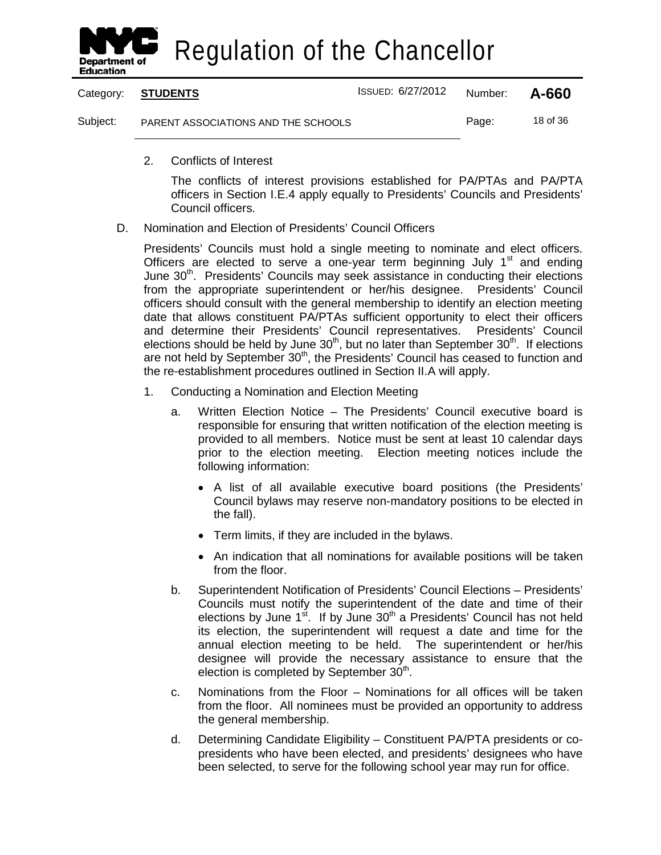

|          | Category: STUDENTS                  | ISSUED: 6/27/2012 | Number: | A-660    |
|----------|-------------------------------------|-------------------|---------|----------|
| Subject: | PARENT ASSOCIATIONS AND THE SCHOOLS |                   | Page:   | 18 of 36 |

2. Conflicts of Interest

The conflicts of interest provisions established for PA/PTAs and PA/PTA officers in Section I.E.4 apply equally to Presidents' Councils and Presidents' Council officers.

D. Nomination and Election of Presidents' Council Officers

Presidents' Councils must hold a single meeting to nominate and elect officers. Officers are elected to serve a one-year term beginning July  $1<sup>st</sup>$  and ending June  $30<sup>th</sup>$ . Presidents' Councils may seek assistance in conducting their elections from the appropriate superintendent or her/his designee. Presidents' Council officers should consult with the general membership to identify an election meeting date that allows constituent PA/PTAs sufficient opportunity to elect their officers and determine their Presidents' Council representatives. Presidents' Council elections should be held by June  $30<sup>th</sup>$ , but no later than September  $30<sup>th</sup>$ . If elections are not held by September 30<sup>th</sup>, the Presidents' Council has ceased to function and the re-establishment procedures outlined in Section II.A will apply.

- 1. Conducting a Nomination and Election Meeting
	- a. Written Election Notice The Presidents' Council executive board is responsible for ensuring that written notification of the election meeting is provided to all members. Notice must be sent at least 10 calendar days prior to the election meeting. Election meeting notices include the following information:
		- A list of all available executive board positions (the Presidents' Council bylaws may reserve non-mandatory positions to be elected in the fall).
		- Term limits, if they are included in the bylaws.
		- An indication that all nominations for available positions will be taken from the floor.
	- b. Superintendent Notification of Presidents' Council Elections Presidents' Councils must notify the superintendent of the date and time of their elections by June  $1<sup>st</sup>$ . If by June  $30<sup>th</sup>$  a Presidents' Council has not held its election, the superintendent will request a date and time for the annual election meeting to be held. The superintendent or her/his designee will provide the necessary assistance to ensure that the election is completed by September  $30<sup>th</sup>$ .
	- c. Nominations from the Floor Nominations for all offices will be taken from the floor. All nominees must be provided an opportunity to address the general membership.
	- d. Determining Candidate Eligibility Constituent PA/PTA presidents or copresidents who have been elected, and presidents' designees who have been selected, to serve for the following school year may run for office.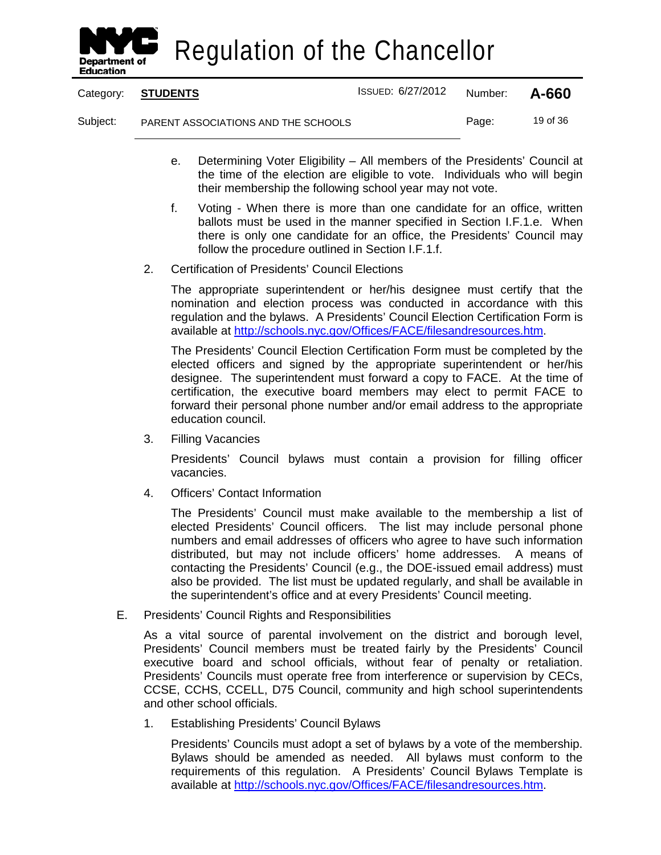

| Category: | <b>STUDENTS</b>                     | <b>ISSUED: 6/27/2012</b> | Number: | A-660    |
|-----------|-------------------------------------|--------------------------|---------|----------|
| Subject:  | PARENT ASSOCIATIONS AND THE SCHOOLS |                          | Page:   | 19 of 36 |

- e. Determining Voter Eligibility All members of the Presidents' Council at the time of the election are eligible to vote. Individuals who will begin their membership the following school year may not vote.
- f. Voting When there is more than one candidate for an office, written ballots must be used in the manner specified in Section I.F.1.e. When there is only one candidate for an office, the Presidents' Council may follow the procedure outlined in Section I.F.1.f.
- 2. Certification of Presidents' Council Elections

The appropriate superintendent or her/his designee must certify that the nomination and election process was conducted in accordance with this regulation and the bylaws. A Presidents' Council Election Certification Form is available at [http://schools.nyc.gov/Offices/FACE/filesandresources.htm.](http://schools.nyc.gov/Offices/FACE/filesandresources.htm)

The Presidents' Council Election Certification Form must be completed by the elected officers and signed by the appropriate superintendent or her/his designee. The superintendent must forward a copy to FACE. At the time of certification, the executive board members may elect to permit FACE to forward their personal phone number and/or email address to the appropriate education council.

3. Filling Vacancies

Presidents' Council bylaws must contain a provision for filling officer vacancies.

4. Officers' Contact Information

The Presidents' Council must make available to the membership a list of elected Presidents' Council officers. The list may include personal phone numbers and email addresses of officers who agree to have such information distributed, but may not include officers' home addresses. A means of contacting the Presidents' Council (e.g., the DOE-issued email address) must also be provided. The list must be updated regularly, and shall be available in the superintendent's office and at every Presidents' Council meeting.

E. Presidents' Council Rights and Responsibilities

As a vital source of parental involvement on the district and borough level, Presidents' Council members must be treated fairly by the Presidents' Council executive board and school officials, without fear of penalty or retaliation. Presidents' Councils must operate free from interference or supervision by CECs, CCSE, CCHS, CCELL, D75 Council, community and high school superintendents and other school officials.

1. Establishing Presidents' Council Bylaws

Presidents' Councils must adopt a set of bylaws by a vote of the membership. Bylaws should be amended as needed. All bylaws must conform to the requirements of this regulation. A Presidents' Council Bylaws Template is available at [http://schools.nyc.gov/Offices/FACE/filesandresources.htm.](http://schools.nyc.gov/Offices/FACE/filesandresources.htm)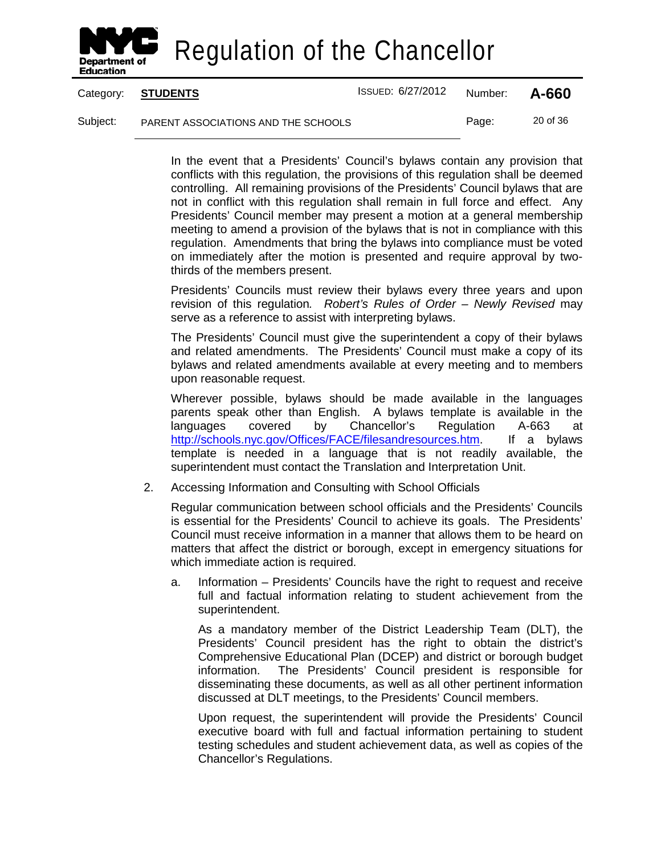

Category: **STUDENTS** ISSUED: 6/27/2012 Number: **A-660**

Subject: PARENT ASSOCIATIONS AND THE SCHOOLS Page: 20 of 36

In the event that a Presidents' Council's bylaws contain any provision that conflicts with this regulation, the provisions of this regulation shall be deemed controlling. All remaining provisions of the Presidents' Council bylaws that are not in conflict with this regulation shall remain in full force and effect. Any Presidents' Council member may present a motion at a general membership meeting to amend a provision of the bylaws that is not in compliance with this regulation. Amendments that bring the bylaws into compliance must be voted on immediately after the motion is presented and require approval by twothirds of the members present.

Presidents' Councils must review their bylaws every three years and upon revision of this regulation*. Robert's Rules of Order – Newly Revised* may serve as a reference to assist with interpreting bylaws.

The Presidents' Council must give the superintendent a copy of their bylaws and related amendments. The Presidents' Council must make a copy of its bylaws and related amendments available at every meeting and to members upon reasonable request.

Wherever possible, bylaws should be made available in the languages parents speak other than English. A bylaws template is available in the languages covered by Chancellor's Regulation A-663 at [http://schools.nyc.gov/Offices/FACE/filesandresources.htm.](http://schools.nyc.gov/Offices/FACE/filesandresources.htm) If a bylaws template is needed in a language that is not readily available, the superintendent must contact the Translation and Interpretation Unit.

2. Accessing Information and Consulting with School Officials

Regular communication between school officials and the Presidents' Councils is essential for the Presidents' Council to achieve its goals. The Presidents' Council must receive information in a manner that allows them to be heard on matters that affect the district or borough, except in emergency situations for which immediate action is required.

a. Information – Presidents' Councils have the right to request and receive full and factual information relating to student achievement from the superintendent.

As a mandatory member of the District Leadership Team (DLT), the Presidents' Council president has the right to obtain the district's Comprehensive Educational Plan (DCEP) and district or borough budget information. The Presidents' Council president is responsible for disseminating these documents, as well as all other pertinent information discussed at DLT meetings, to the Presidents' Council members.

Upon request, the superintendent will provide the Presidents' Council executive board with full and factual information pertaining to student testing schedules and student achievement data, as well as copies of the Chancellor's Regulations.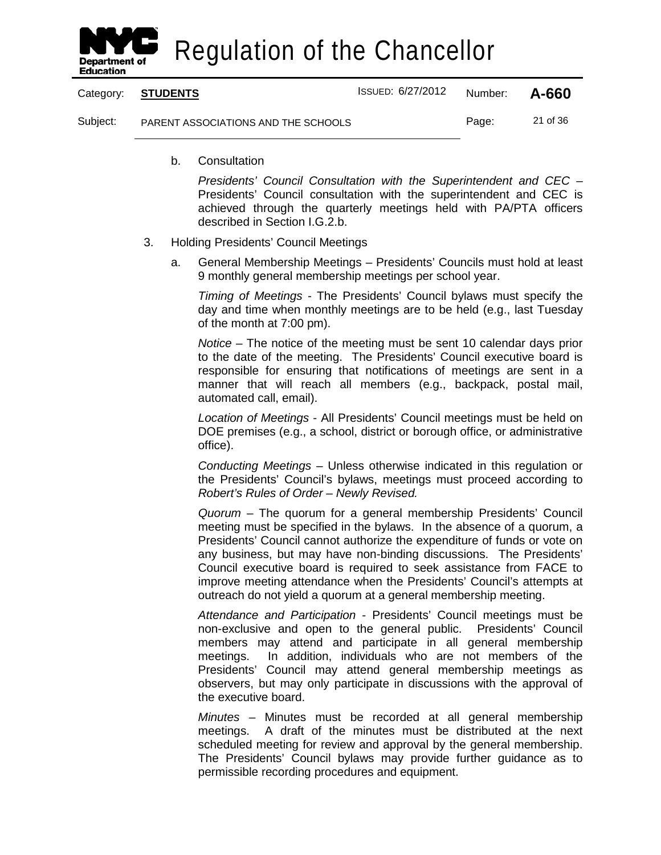

Category: **STUDENTS** ISSUED: 6/27/2012 Number: **A-660** Subject: PARENT ASSOCIATIONS AND THE SCHOOLS Page: 21 of 36

b. Consultation

*Presidents' Council Consultation with the Superintendent and CEC* – Presidents' Council consultation with the superintendent and CEC is achieved through the quarterly meetings held with PA/PTA officers described in Section I.G.2.b.

- 3. Holding Presidents' Council Meetings
	- a. General Membership Meetings Presidents' Councils must hold at least 9 monthly general membership meetings per school year.

*Timing of Meetings* - The Presidents' Council bylaws must specify the day and time when monthly meetings are to be held (e.g., last Tuesday of the month at 7:00 pm).

*Notice* – The notice of the meeting must be sent 10 calendar days prior to the date of the meeting. The Presidents' Council executive board is responsible for ensuring that notifications of meetings are sent in a manner that will reach all members (e.g., backpack, postal mail, automated call, email).

*Location of Meetings* - All Presidents' Council meetings must be held on DOE premises (e.g., a school, district or borough office, or administrative office).

*Conducting Meetings* – Unless otherwise indicated in this regulation or the Presidents' Council's bylaws, meetings must proceed according to *Robert's Rules of Order – Newly Revised.*

*Quorum* – The quorum for a general membership Presidents' Council meeting must be specified in the bylaws. In the absence of a quorum, a Presidents' Council cannot authorize the expenditure of funds or vote on any business, but may have non-binding discussions. The Presidents' Council executive board is required to seek assistance from FACE to improve meeting attendance when the Presidents' Council's attempts at outreach do not yield a quorum at a general membership meeting.

*Attendance and Participation* - Presidents' Council meetings must be non-exclusive and open to the general public. Presidents' Council members may attend and participate in all general membership meetings. In addition, individuals who are not members of the Presidents' Council may attend general membership meetings as observers, but may only participate in discussions with the approval of the executive board.

*Minutes* – Minutes must be recorded at all general membership meetings. A draft of the minutes must be distributed at the next scheduled meeting for review and approval by the general membership. The Presidents' Council bylaws may provide further guidance as to permissible recording procedures and equipment.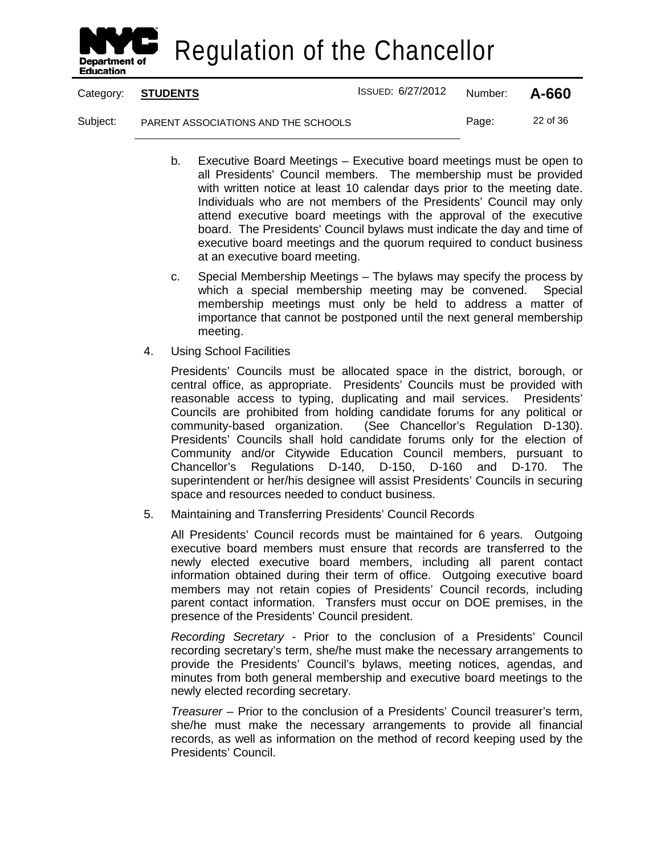

Category: **STUDENTS** ISSUED: 6/27/2012 Number: **A-660**

Subject: PARENT ASSOCIATIONS AND THE SCHOOLS Page: 22 of 36

- b. Executive Board Meetings Executive board meetings must be open to all Presidents' Council members. The membership must be provided with written notice at least 10 calendar days prior to the meeting date. Individuals who are not members of the Presidents' Council may only attend executive board meetings with the approval of the executive board. The Presidents' Council bylaws must indicate the day and time of executive board meetings and the quorum required to conduct business at an executive board meeting.
- c. Special Membership Meetings The bylaws may specify the process by which a special membership meeting may be convened. Special membership meetings must only be held to address a matter of importance that cannot be postponed until the next general membership meeting.
- 4. Using School Facilities

Presidents' Councils must be allocated space in the district, borough, or central office, as appropriate. Presidents' Councils must be provided with reasonable access to typing, duplicating and mail services. Presidents' Councils are prohibited from holding candidate forums for any political or community-based organization. (See Chancellor's Regulation D-130). Presidents' Councils shall hold candidate forums only for the election of Community and/or Citywide Education Council members, pursuant to Chancellor's Regulations D-140, D-150, D-160 and D-170. The superintendent or her/his designee will assist Presidents' Councils in securing space and resources needed to conduct business.

5. Maintaining and Transferring Presidents' Council Records

All Presidents' Council records must be maintained for 6 years. Outgoing executive board members must ensure that records are transferred to the newly elected executive board members, including all parent contact information obtained during their term of office. Outgoing executive board members may not retain copies of Presidents' Council records, including parent contact information. Transfers must occur on DOE premises, in the presence of the Presidents' Council president.

*Recording Secretary* - Prior to the conclusion of a Presidents' Council recording secretary's term, she/he must make the necessary arrangements to provide the Presidents' Council's bylaws, meeting notices, agendas, and minutes from both general membership and executive board meetings to the newly elected recording secretary.

*Treasurer* – Prior to the conclusion of a Presidents' Council treasurer's term, she/he must make the necessary arrangements to provide all financial records, as well as information on the method of record keeping used by the Presidents' Council.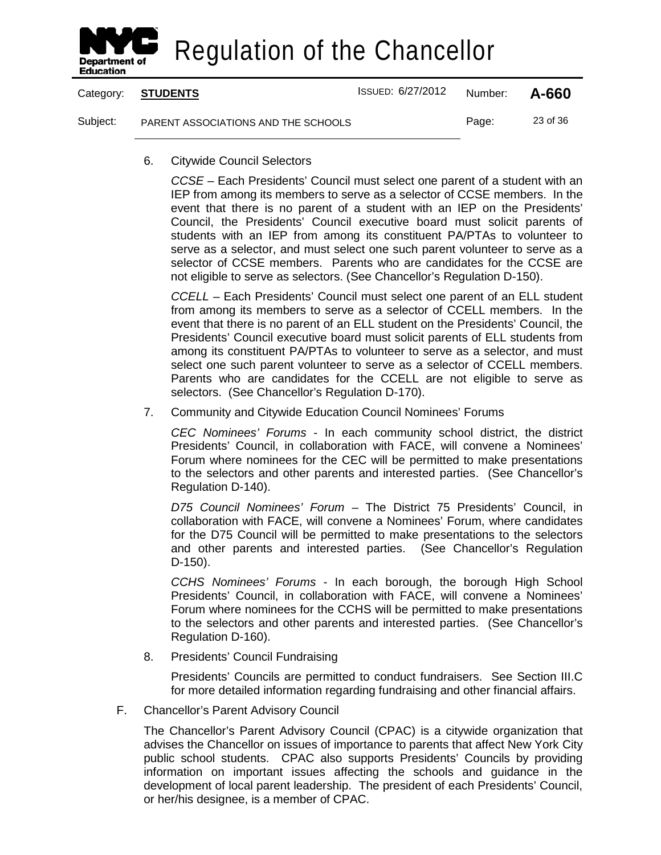

|          | Category: <b>STUDENTS</b>           | <b>ISSUED: 6/27/2012</b> | Number: | A-660    |
|----------|-------------------------------------|--------------------------|---------|----------|
| Subject: | PARENT ASSOCIATIONS AND THE SCHOOLS |                          | Page:   | 23 of 36 |

6. Citywide Council Selectors

*CCSE* – Each Presidents' Council must select one parent of a student with an IEP from among its members to serve as a selector of CCSE members. In the event that there is no parent of a student with an IEP on the Presidents' Council, the Presidents' Council executive board must solicit parents of students with an IEP from among its constituent PA/PTAs to volunteer to serve as a selector, and must select one such parent volunteer to serve as a selector of CCSE members. Parents who are candidates for the CCSE are not eligible to serve as selectors. (See Chancellor's Regulation D-150).

*CCELL* – Each Presidents' Council must select one parent of an ELL student from among its members to serve as a selector of CCELL members. In the event that there is no parent of an ELL student on the Presidents' Council, the Presidents' Council executive board must solicit parents of ELL students from among its constituent PA/PTAs to volunteer to serve as a selector, and must select one such parent volunteer to serve as a selector of CCELL members. Parents who are candidates for the CCELL are not eligible to serve as selectors. (See Chancellor's Regulation D-170).

7. Community and Citywide Education Council Nominees' Forums

*CEC Nominees' Forums* - In each community school district, the district Presidents' Council, in collaboration with FACE, will convene a Nominees' Forum where nominees for the CEC will be permitted to make presentations to the selectors and other parents and interested parties. (See Chancellor's Regulation D-140).

*D75 Council Nominees' Forum* – The District 75 Presidents' Council, in collaboration with FACE, will convene a Nominees' Forum, where candidates for the D75 Council will be permitted to make presentations to the selectors and other parents and interested parties. (See Chancellor's Regulation D-150).

*CCHS Nominees' Forums* - In each borough, the borough High School Presidents' Council, in collaboration with FACE, will convene a Nominees' Forum where nominees for the CCHS will be permitted to make presentations to the selectors and other parents and interested parties. (See Chancellor's Regulation D-160).

8. Presidents' Council Fundraising

Presidents' Councils are permitted to conduct fundraisers. See Section III.C for more detailed information regarding fundraising and other financial affairs.

F. Chancellor's Parent Advisory Council

The Chancellor's Parent Advisory Council (CPAC) is a citywide organization that advises the Chancellor on issues of importance to parents that affect New York City public school students. CPAC also supports Presidents' Councils by providing information on important issues affecting the schools and guidance in the development of local parent leadership. The president of each Presidents' Council, or her/his designee, is a member of CPAC.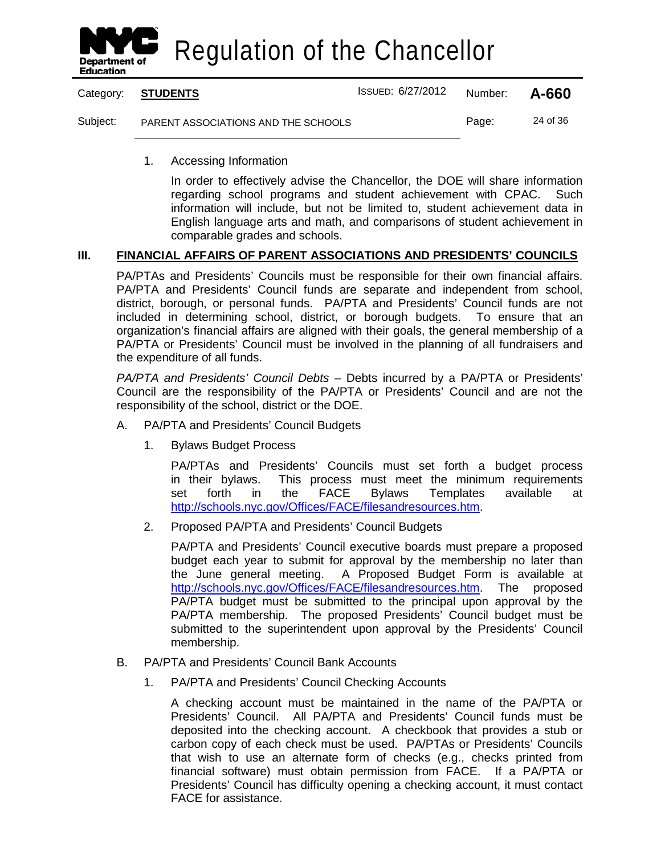

Category: **STUDENTS** ISSUED: 6/27/2012 Number: **A-660** Subject: PARENT ASSOCIATIONS AND THE SCHOOLS Page: 24 of 36

1. Accessing Information

In order to effectively advise the Chancellor, the DOE will share information regarding school programs and student achievement with CPAC. Such information will include, but not be limited to, student achievement data in English language arts and math, and comparisons of student achievement in comparable grades and schools.

#### **III. FINANCIAL AFFAIRS OF PARENT ASSOCIATIONS AND PRESIDENTS' COUNCILS**

PA/PTAs and Presidents' Councils must be responsible for their own financial affairs. PA/PTA and Presidents' Council funds are separate and independent from school, district, borough, or personal funds. PA/PTA and Presidents' Council funds are not included in determining school, district, or borough budgets. To ensure that an organization's financial affairs are aligned with their goals, the general membership of a PA/PTA or Presidents' Council must be involved in the planning of all fundraisers and the expenditure of all funds.

*PA/PTA and Presidents' Council Debts* – Debts incurred by a PA/PTA or Presidents' Council are the responsibility of the PA/PTA or Presidents' Council and are not the responsibility of the school, district or the DOE.

- A. PA/PTA and Presidents' Council Budgets
	- 1. Bylaws Budget Process

PA/PTAs and Presidents' Councils must set forth a budget process in their bylaws. This process must meet the minimum requirements set forth in the FACE Bylaws Templates available at [http://schools.nyc.gov/Offices/FACE/filesandresources.htm.](http://schools.nyc.gov/Offices/FACE/filesandresources.htm)

2. Proposed PA/PTA and Presidents' Council Budgets

PA/PTA and Presidents' Council executive boards must prepare a proposed budget each year to submit for approval by the membership no later than the June general meeting. A Proposed Budget Form is available at [http://schools.nyc.gov/Offices/FACE/filesandresources.htm.](http://schools.nyc.gov/Offices/FACE/filesandresources.htm) The proposed PA/PTA budget must be submitted to the principal upon approval by the PA/PTA membership. The proposed Presidents' Council budget must be submitted to the superintendent upon approval by the Presidents' Council membership.

- B. PA/PTA and Presidents' Council Bank Accounts
	- 1. PA/PTA and Presidents' Council Checking Accounts

A checking account must be maintained in the name of the PA/PTA or Presidents' Council. All PA/PTA and Presidents' Council funds must be deposited into the checking account. A checkbook that provides a stub or carbon copy of each check must be used. PA/PTAs or Presidents' Councils that wish to use an alternate form of checks (e.g., checks printed from financial software) must obtain permission from FACE. If a PA/PTA or Presidents' Council has difficulty opening a checking account, it must contact FACE for assistance.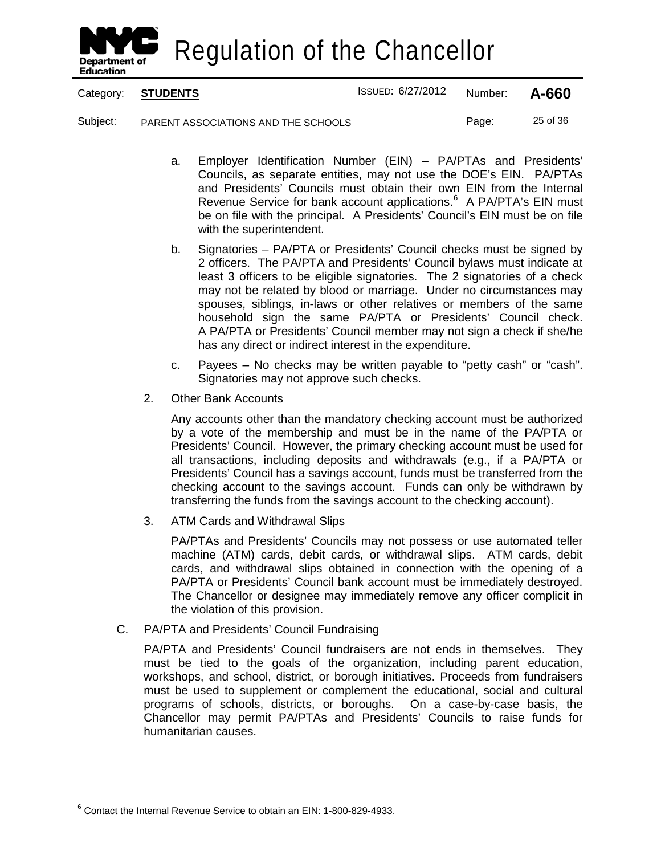

Category: **STUDENTS** ISSUED: 6/27/2012 Number: **A-660**

Subject: PARENT ASSOCIATIONS AND THE SCHOOLS Page: 25 of 36

- a. Employer Identification Number (EIN) PA/PTAs and Presidents' Councils, as separate entities, may not use the DOE's EIN. PA/PTAs and Presidents' Councils must obtain their own EIN from the Internal Revenue Service for bank account applications.<sup>[6](#page-31-0)</sup> A PA/PTA's EIN must be on file with the principal. A Presidents' Council's EIN must be on file with the superintendent.
- b. Signatories PA/PTA or Presidents' Council checks must be signed by 2 officers. The PA/PTA and Presidents' Council bylaws must indicate at least 3 officers to be eligible signatories. The 2 signatories of a check may not be related by blood or marriage. Under no circumstances may spouses, siblings, in-laws or other relatives or members of the same household sign the same PA/PTA or Presidents' Council check. A PA/PTA or Presidents' Council member may not sign a check if she/he has any direct or indirect interest in the expenditure.
- c. Payees No checks may be written payable to "petty cash" or "cash". Signatories may not approve such checks.
- 2. Other Bank Accounts

Any accounts other than the mandatory checking account must be authorized by a vote of the membership and must be in the name of the PA/PTA or Presidents' Council. However, the primary checking account must be used for all transactions, including deposits and withdrawals (e.g., if a PA/PTA or Presidents' Council has a savings account, funds must be transferred from the checking account to the savings account. Funds can only be withdrawn by transferring the funds from the savings account to the checking account).

3. ATM Cards and Withdrawal Slips

PA/PTAs and Presidents' Councils may not possess or use automated teller machine (ATM) cards, debit cards, or withdrawal slips. ATM cards, debit cards, and withdrawal slips obtained in connection with the opening of a PA/PTA or Presidents' Council bank account must be immediately destroyed. The Chancellor or designee may immediately remove any officer complicit in the violation of this provision.

C. PA/PTA and Presidents' Council Fundraising

PA/PTA and Presidents' Council fundraisers are not ends in themselves. They must be tied to the goals of the organization, including parent education, workshops, and school, district, or borough initiatives. Proceeds from fundraisers must be used to supplement or complement the educational, social and cultural programs of schools, districts, or boroughs. On a case-by-case basis, the Chancellor may permit PA/PTAs and Presidents' Councils to raise funds for humanitarian causes.

<span id="page-31-0"></span> <sup>6</sup> Contact the Internal Revenue Service to obtain an EIN: 1-800-829-4933.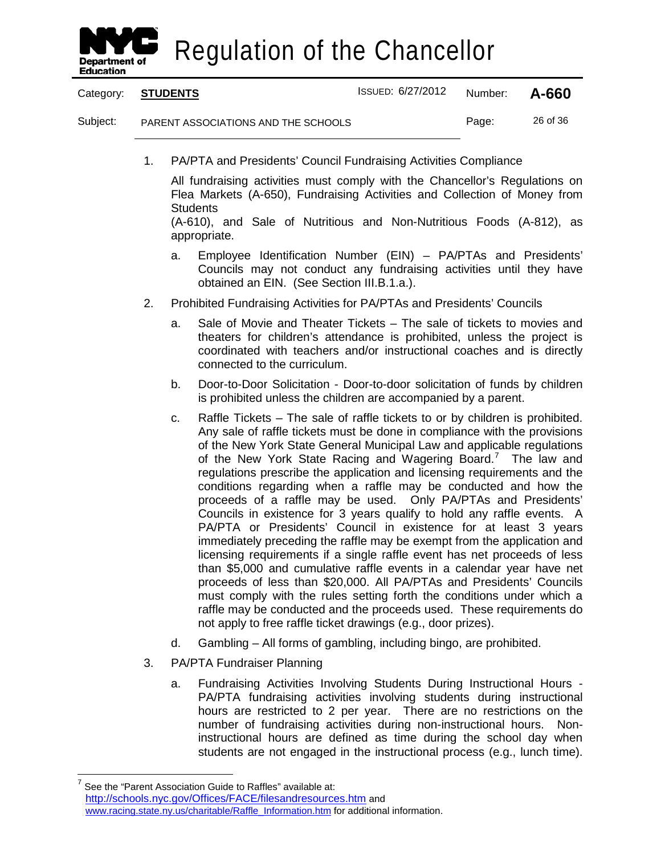

Category: **STUDENTS** ISSUED: 6/27/2012 Number: **A-660** Subject: PARENT ASSOCIATIONS AND THE SCHOOLS Page: 26 of 36

1. PA/PTA and Presidents' Council Fundraising Activities Compliance

All fundraising activities must comply with the Chancellor's Regulations on Flea Markets (A-650), Fundraising Activities and Collection of Money from **Students** 

(A-610), and Sale of Nutritious and Non-Nutritious Foods (A-812), as appropriate.

- a. Employee Identification Number (EIN) PA/PTAs and Presidents' Councils may not conduct any fundraising activities until they have obtained an EIN. (See Section III.B.1.a.).
- 2. Prohibited Fundraising Activities for PA/PTAs and Presidents' Councils
	- a. Sale of Movie and Theater Tickets The sale of tickets to movies and theaters for children's attendance is prohibited, unless the project is coordinated with teachers and/or instructional coaches and is directly connected to the curriculum.
	- b. Door-to-Door Solicitation Door-to-door solicitation of funds by children is prohibited unless the children are accompanied by a parent.
	- c. Raffle Tickets The sale of raffle tickets to or by children is prohibited. Any sale of raffle tickets must be done in compliance with the provisions of the New York State General Municipal Law and applicable regulations of the New York State Racing and Wagering Board.<sup>[7](#page-32-0)</sup> The law and regulations prescribe the application and licensing requirements and the conditions regarding when a raffle may be conducted and how the proceeds of a raffle may be used. Only PA/PTAs and Presidents' Councils in existence for 3 years qualify to hold any raffle events. A PA/PTA or Presidents' Council in existence for at least 3 years immediately preceding the raffle may be exempt from the application and licensing requirements if a single raffle event has net proceeds of less than \$5,000 and cumulative raffle events in a calendar year have net proceeds of less than \$20,000. All PA/PTAs and Presidents' Councils must comply with the rules setting forth the conditions under which a raffle may be conducted and the proceeds used. These requirements do not apply to free raffle ticket drawings (e.g., door prizes).
	- d. Gambling All forms of gambling, including bingo, are prohibited.
- 3. PA/PTA Fundraiser Planning
	- a. Fundraising Activities Involving Students During Instructional Hours PA/PTA fundraising activities involving students during instructional hours are restricted to 2 per year. There are no restrictions on the number of fundraising activities during non-instructional hours. Noninstructional hours are defined as time during the school day when students are not engaged in the instructional process (e.g., lunch time).

<span id="page-32-0"></span>See the "Parent Association Guide to Raffles" available at: <http://schools.nyc.gov/Offices/FACE/filesandresources.htm> and [www.racing.state.ny.us/charitable/Raffle\\_Information.htm](http://www.racing.state.ny.us/charitable/Raffle_Information.htm) for additional information.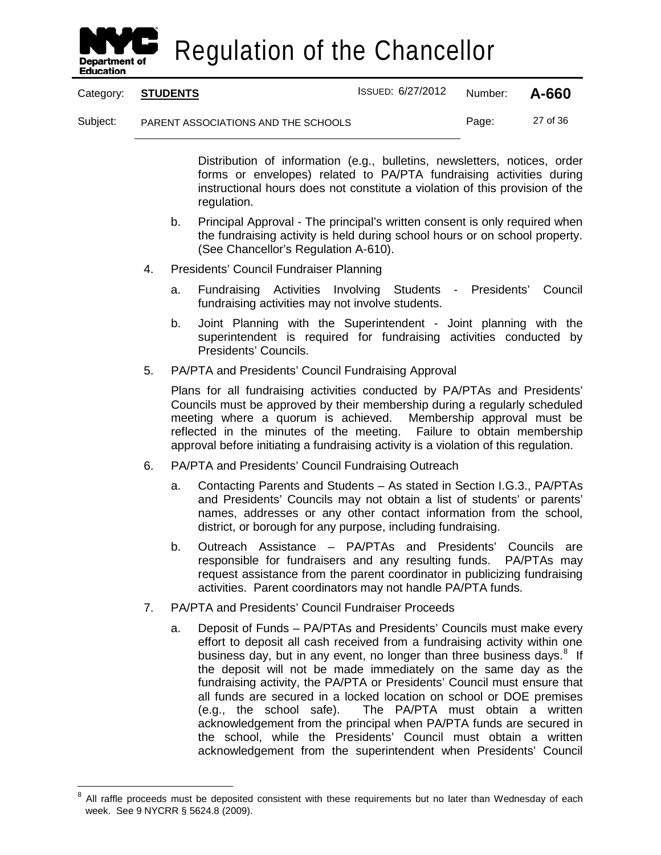

Category: **STUDENTS** ISSUED: 6/27/2012 Number: **A-660**

Subject: PARENT ASSOCIATIONS AND THE SCHOOLS Page: 27 of 36

Distribution of information (e.g., bulletins, newsletters, notices, order forms or envelopes) related to PA/PTA fundraising activities during instructional hours does not constitute a violation of this provision of the regulation.

- b. Principal Approval The principal's written consent is only required when the fundraising activity is held during school hours or on school property. (See Chancellor's Regulation A-610).
- 4. Presidents' Council Fundraiser Planning
	- a. Fundraising Activities Involving Students Presidents' Council fundraising activities may not involve students.
	- b. Joint Planning with the Superintendent Joint planning with the superintendent is required for fundraising activities conducted by Presidents' Councils.
- 5. PA/PTA and Presidents' Council Fundraising Approval

Plans for all fundraising activities conducted by PA/PTAs and Presidents' Councils must be approved by their membership during a regularly scheduled meeting where a quorum is achieved. Membership approval must be reflected in the minutes of the meeting. Failure to obtain membership approval before initiating a fundraising activity is a violation of this regulation.

- 6. PA/PTA and Presidents' Council Fundraising Outreach
	- a. Contacting Parents and Students As stated in Section I.G.3., PA/PTAs and Presidents' Councils may not obtain a list of students' or parents' names, addresses or any other contact information from the school, district, or borough for any purpose, including fundraising.
	- b. Outreach Assistance PA/PTAs and Presidents' Councils are responsible for fundraisers and any resulting funds. PA/PTAs may request assistance from the parent coordinator in publicizing fundraising activities. Parent coordinators may not handle PA/PTA funds.
- 7. PA/PTA and Presidents' Council Fundraiser Proceeds
	- a. Deposit of Funds PA/PTAs and Presidents' Councils must make every effort to deposit all cash received from a fundraising activity within one business day, but in any event, no longer than three business days.<sup>[8](#page-33-0)</sup> If the deposit will not be made immediately on the same day as the fundraising activity, the PA/PTA or Presidents' Council must ensure that all funds are secured in a locked location on school or DOE premises (e.g., the school safe). The PA/PTA must obtain a written acknowledgement from the principal when PA/PTA funds are secured in the school, while the Presidents' Council must obtain a written acknowledgement from the superintendent when Presidents' Council

<span id="page-33-0"></span>All raffle proceeds must be deposited consistent with these requirements but no later than Wednesday of each week. See 9 NYCRR § 5624.8 (2009).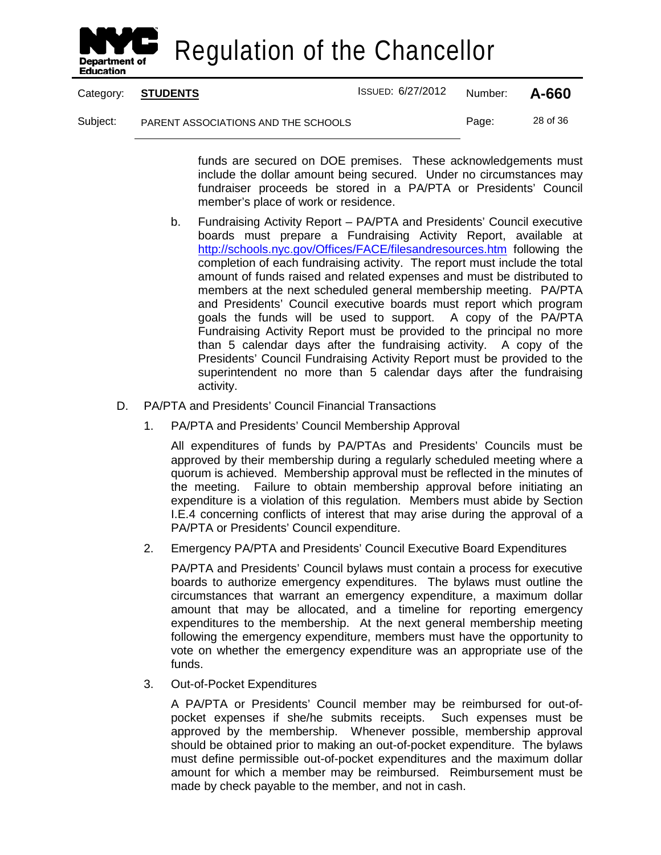

Category: **STUDENTS** ISSUED: 6/27/2012 Number: **A-660**

Subject: PARENT ASSOCIATIONS AND THE SCHOOLS Page: 28 of 36

funds are secured on DOE premises. These acknowledgements must include the dollar amount being secured. Under no circumstances may fundraiser proceeds be stored in a PA/PTA or Presidents' Council member's place of work or residence.

- b. Fundraising Activity Report PA/PTA and Presidents' Council executive boards must prepare a Fundraising Activity Report, available at <http://schools.nyc.gov/Offices/FACE/filesandresources.htm> following the completion of each fundraising activity. The report must include the total amount of funds raised and related expenses and must be distributed to members at the next scheduled general membership meeting. PA/PTA and Presidents' Council executive boards must report which program goals the funds will be used to support. A copy of the PA/PTA Fundraising Activity Report must be provided to the principal no more than 5 calendar days after the fundraising activity. A copy of the Presidents' Council Fundraising Activity Report must be provided to the superintendent no more than 5 calendar days after the fundraising activity.
- D. PA/PTA and Presidents' Council Financial Transactions
	- 1. PA/PTA and Presidents' Council Membership Approval

All expenditures of funds by PA/PTAs and Presidents' Councils must be approved by their membership during a regularly scheduled meeting where a quorum is achieved. Membership approval must be reflected in the minutes of the meeting. Failure to obtain membership approval before initiating an expenditure is a violation of this regulation. Members must abide by Section I.E.4 concerning conflicts of interest that may arise during the approval of a PA/PTA or Presidents' Council expenditure.

2. Emergency PA/PTA and Presidents' Council Executive Board Expenditures

PA/PTA and Presidents' Council bylaws must contain a process for executive boards to authorize emergency expenditures. The bylaws must outline the circumstances that warrant an emergency expenditure, a maximum dollar amount that may be allocated, and a timeline for reporting emergency expenditures to the membership. At the next general membership meeting following the emergency expenditure, members must have the opportunity to vote on whether the emergency expenditure was an appropriate use of the funds.

3. Out-of-Pocket Expenditures

A PA/PTA or Presidents' Council member may be reimbursed for out-ofpocket expenses if she/he submits receipts. Such expenses must be approved by the membership. Whenever possible, membership approval should be obtained prior to making an out-of-pocket expenditure. The bylaws must define permissible out-of-pocket expenditures and the maximum dollar amount for which a member may be reimbursed. Reimbursement must be made by check payable to the member, and not in cash.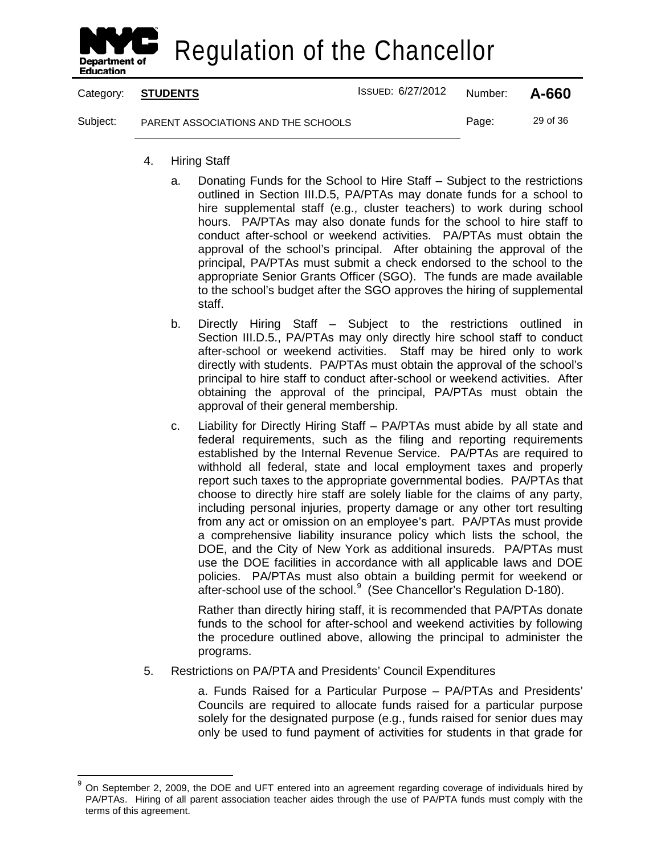

Category: **STUDENTS** ISSUED: 6/27/2012 Number: **A-660** Subject: PARENT ASSOCIATIONS AND THE SCHOOLS Page: 29 of 36

- 4. Hiring Staff
	- a. Donating Funds for the School to Hire Staff Subject to the restrictions outlined in Section III.D.5, PA/PTAs may donate funds for a school to hire supplemental staff (e.g., cluster teachers) to work during school hours. PA/PTAs may also donate funds for the school to hire staff to conduct after-school or weekend activities. PA/PTAs must obtain the approval of the school's principal. After obtaining the approval of the principal, PA/PTAs must submit a check endorsed to the school to the appropriate Senior Grants Officer (SGO). The funds are made available to the school's budget after the SGO approves the hiring of supplemental staff.
	- b. Directly Hiring Staff Subject to the restrictions outlined in Section III.D.5., PA/PTAs may only directly hire school staff to conduct after-school or weekend activities. Staff may be hired only to work directly with students. PA/PTAs must obtain the approval of the school's principal to hire staff to conduct after-school or weekend activities. After obtaining the approval of the principal, PA/PTAs must obtain the approval of their general membership.
	- c. Liability for Directly Hiring Staff PA/PTAs must abide by all state and federal requirements, such as the filing and reporting requirements established by the Internal Revenue Service. PA/PTAs are required to withhold all federal, state and local employment taxes and properly report such taxes to the appropriate governmental bodies. PA/PTAs that choose to directly hire staff are solely liable for the claims of any party, including personal injuries, property damage or any other tort resulting from any act or omission on an employee's part. PA/PTAs must provide a comprehensive liability insurance policy which lists the school, the DOE, and the City of New York as additional insureds. PA/PTAs must use the DOE facilities in accordance with all applicable laws and DOE policies. PA/PTAs must also obtain a building permit for weekend or after-school use of the school.<sup>[9](#page-35-0)</sup> (See Chancellor's Regulation D-180).

Rather than directly hiring staff, it is recommended that PA/PTAs donate funds to the school for after-school and weekend activities by following the procedure outlined above, allowing the principal to administer the programs.

5. Restrictions on PA/PTA and Presidents' Council Expenditures

a. Funds Raised for a Particular Purpose – PA/PTAs and Presidents' Councils are required to allocate funds raised for a particular purpose solely for the designated purpose (e.g., funds raised for senior dues may only be used to fund payment of activities for students in that grade for

<span id="page-35-0"></span><sup>&</sup>lt;sup>9</sup> On September 2, 2009, the DOE and UFT entered into an agreement regarding coverage of individuals hired by PA/PTAs. Hiring of all parent association teacher aides through the use of PA/PTA funds must comply with the terms of this agreement.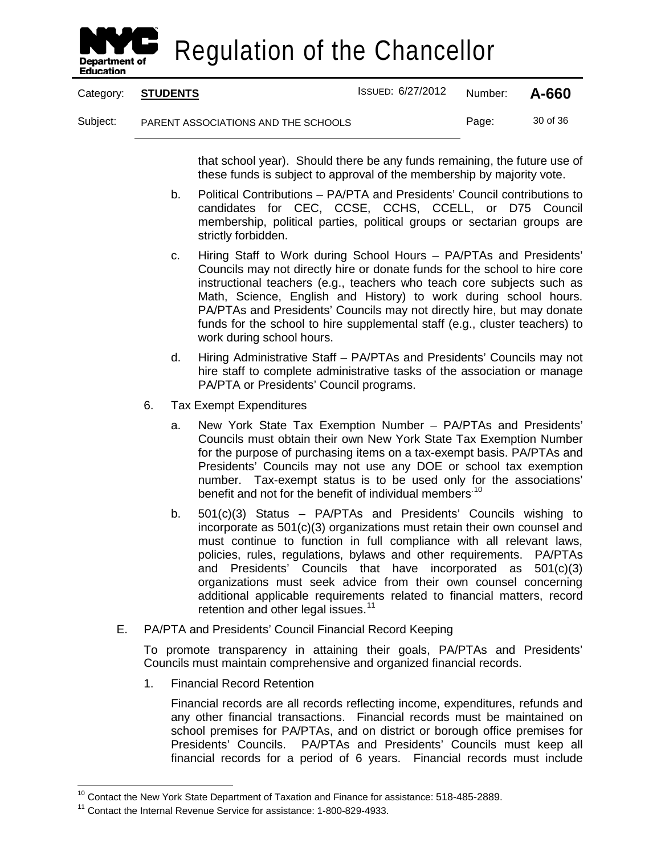

|          | Category: STUDENTS                  | ISSUED: 6/27/2012 | Number: | A-660    |
|----------|-------------------------------------|-------------------|---------|----------|
| Subject: | PARENT ASSOCIATIONS AND THE SCHOOLS |                   | Page:   | 30 of 36 |

that school year). Should there be any funds remaining, the future use of these funds is subject to approval of the membership by majority vote.

- b. Political Contributions PA/PTA and Presidents' Council contributions to candidates for CEC, CCSE, CCHS, CCELL, or D75 Council membership, political parties, political groups or sectarian groups are strictly forbidden.
- c. Hiring Staff to Work during School Hours PA/PTAs and Presidents' Councils may not directly hire or donate funds for the school to hire core instructional teachers (e.g., teachers who teach core subjects such as Math, Science, English and History) to work during school hours. PA/PTAs and Presidents' Councils may not directly hire, but may donate funds for the school to hire supplemental staff (e.g., cluster teachers) to work during school hours.
- d. Hiring Administrative Staff PA/PTAs and Presidents' Councils may not hire staff to complete administrative tasks of the association or manage PA/PTA or Presidents' Council programs.
- 6. Tax Exempt Expenditures
	- a. New York State Tax Exemption Number PA/PTAs and Presidents' Councils must obtain their own New York State Tax Exemption Number for the purpose of purchasing items on a tax-exempt basis. PA/PTAs and Presidents' Councils may not use any DOE or school tax exemption number. Tax-exempt status is to be used only for the associations' benefit and not for the benefit of individual members.<sup>[10](#page-36-0)</sup>
	- b. 501(c)(3) Status PA/PTAs and Presidents' Councils wishing to incorporate as 501(c)(3) organizations must retain their own counsel and must continue to function in full compliance with all relevant laws, policies, rules, regulations, bylaws and other requirements. PA/PTAs and Presidents' Councils that have incorporated as 501(c)(3) organizations must seek advice from their own counsel concerning additional applicable requirements related to financial matters, record retention and other legal issues.<sup>[11](#page-36-1)</sup>
- E. PA/PTA and Presidents' Council Financial Record Keeping

To promote transparency in attaining their goals, PA/PTAs and Presidents' Councils must maintain comprehensive and organized financial records.

1. Financial Record Retention

Financial records are all records reflecting income, expenditures, refunds and any other financial transactions. Financial records must be maintained on school premises for PA/PTAs, and on district or borough office premises for Presidents' Councils. PA/PTAs and Presidents' Councils must keep all financial records for a period of 6 years. Financial records must include

<span id="page-36-0"></span><sup>&</sup>lt;sup>10</sup> Contact the New York State Department of Taxation and Finance for assistance: 518-485-2889.

<span id="page-36-1"></span><sup>11</sup> Contact the Internal Revenue Service for assistance: 1-800-829-4933.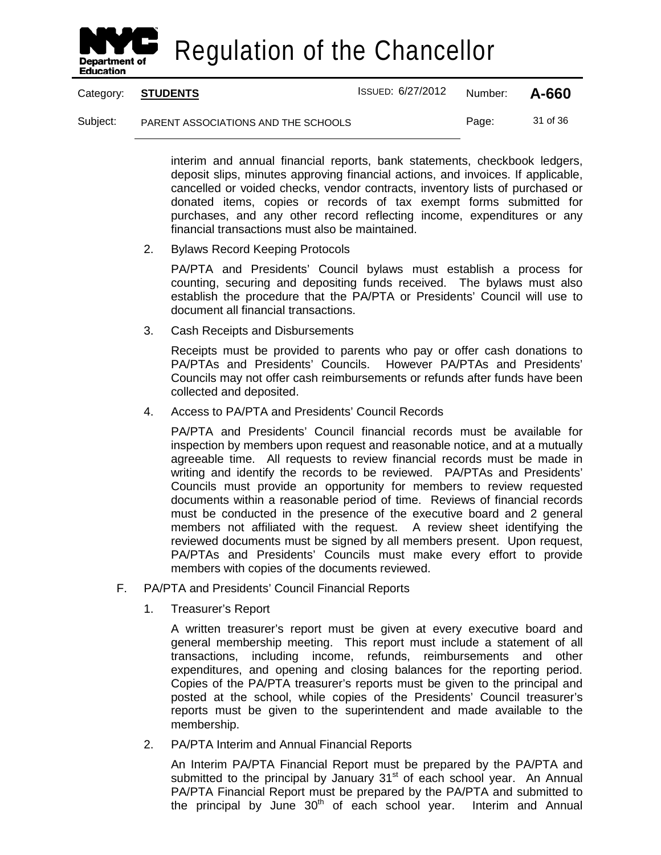

Category: **STUDENTS** ISSUED: 6/27/2012 Number: **A-660**

Subject: PARENT ASSOCIATIONS AND THE SCHOOLS Page: 31 of 36

interim and annual financial reports, bank statements, checkbook ledgers, deposit slips, minutes approving financial actions, and invoices. If applicable, cancelled or voided checks, vendor contracts, inventory lists of purchased or donated items, copies or records of tax exempt forms submitted for purchases, and any other record reflecting income, expenditures or any financial transactions must also be maintained.

2. Bylaws Record Keeping Protocols

PA/PTA and Presidents' Council bylaws must establish a process for counting, securing and depositing funds received. The bylaws must also establish the procedure that the PA/PTA or Presidents' Council will use to document all financial transactions.

3. Cash Receipts and Disbursements

Receipts must be provided to parents who pay or offer cash donations to PA/PTAs and Presidents' PA/PTAs and Presidents' Councils. Councils may not offer cash reimbursements or refunds after funds have been collected and deposited.

4. Access to PA/PTA and Presidents' Council Records

PA/PTA and Presidents' Council financial records must be available for inspection by members upon request and reasonable notice, and at a mutually agreeable time. All requests to review financial records must be made in writing and identify the records to be reviewed. PA/PTAs and Presidents' Councils must provide an opportunity for members to review requested documents within a reasonable period of time. Reviews of financial records must be conducted in the presence of the executive board and 2 general members not affiliated with the request. A review sheet identifying the reviewed documents must be signed by all members present. Upon request, PA/PTAs and Presidents' Councils must make every effort to provide members with copies of the documents reviewed.

- F. PA/PTA and Presidents' Council Financial Reports
	- 1. Treasurer's Report

A written treasurer's report must be given at every executive board and general membership meeting. This report must include a statement of all transactions, including income, refunds, reimbursements and other expenditures, and opening and closing balances for the reporting period. Copies of the PA/PTA treasurer's reports must be given to the principal and posted at the school, while copies of the Presidents' Council treasurer's reports must be given to the superintendent and made available to the membership.

2. PA/PTA Interim and Annual Financial Reports

An Interim PA/PTA Financial Report must be prepared by the PA/PTA and submitted to the principal by January  $31<sup>st</sup>$  of each school year. An Annual PA/PTA Financial Report must be prepared by the PA/PTA and submitted to the principal by June  $30<sup>th</sup>$  of each school year. Interim and Annual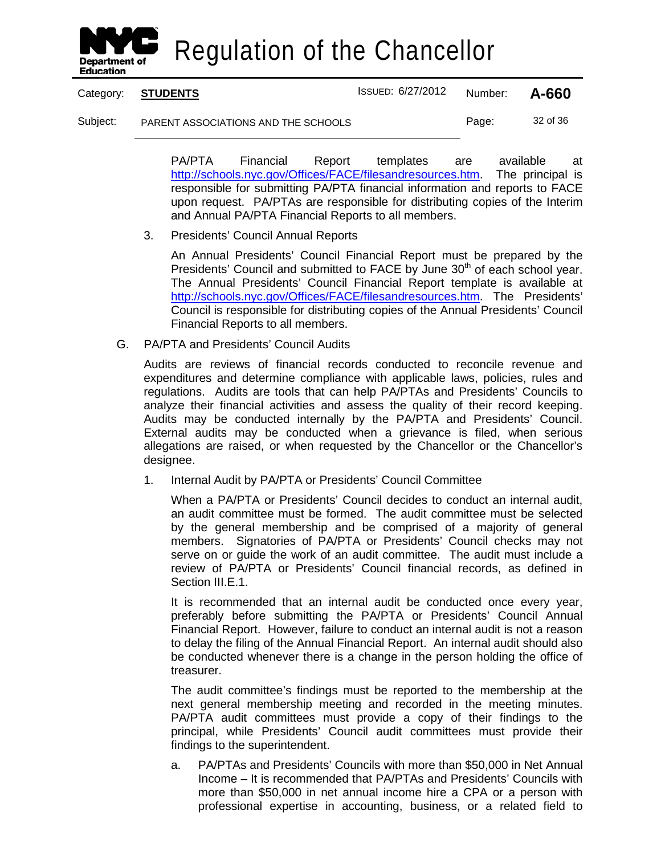

| Category: <b>STUDENTS</b> | ISSUED: 6/27/2012 Number: <b>A-660</b> |  |
|---------------------------|----------------------------------------|--|
|                           |                                        |  |

Subject: PARENT ASSOCIATIONS AND THE SCHOOLS Page: 32 of 36

PA/PTA Financial Report templates are available at [http://schools.nyc.gov/Offices/FACE/filesandresources.htm.](http://schools.nyc.gov/Offices/FACE/filesandresources.htm) The principal is responsible for submitting PA/PTA financial information and reports to FACE upon request. PA/PTAs are responsible for distributing copies of the Interim and Annual PA/PTA Financial Reports to all members.

3. Presidents' Council Annual Reports

An Annual Presidents' Council Financial Report must be prepared by the Presidents' Council and submitted to FACE by June 30<sup>th</sup> of each school year. The Annual Presidents' Council Financial Report template is available at [http://schools.nyc.gov/Offices/FACE/filesandresources.htm.](http://schools.nyc.gov/Offices/FACE/filesandresources.htm) The Presidents' Council is responsible for distributing copies of the Annual Presidents' Council Financial Reports to all members.

G. PA/PTA and Presidents' Council Audits

Audits are reviews of financial records conducted to reconcile revenue and expenditures and determine compliance with applicable laws, policies, rules and regulations. Audits are tools that can help PA/PTAs and Presidents' Councils to analyze their financial activities and assess the quality of their record keeping. Audits may be conducted internally by the PA/PTA and Presidents' Council. External audits may be conducted when a grievance is filed, when serious allegations are raised, or when requested by the Chancellor or the Chancellor's designee.

1. Internal Audit by PA/PTA or Presidents' Council Committee

When a PA/PTA or Presidents' Council decides to conduct an internal audit, an audit committee must be formed. The audit committee must be selected by the general membership and be comprised of a majority of general members. Signatories of PA/PTA or Presidents' Council checks may not serve on or guide the work of an audit committee. The audit must include a review of PA/PTA or Presidents' Council financial records, as defined in Section III.E.1.

It is recommended that an internal audit be conducted once every year, preferably before submitting the PA/PTA or Presidents' Council Annual Financial Report. However, failure to conduct an internal audit is not a reason to delay the filing of the Annual Financial Report. An internal audit should also be conducted whenever there is a change in the person holding the office of treasurer.

The audit committee's findings must be reported to the membership at the next general membership meeting and recorded in the meeting minutes. PA/PTA audit committees must provide a copy of their findings to the principal, while Presidents' Council audit committees must provide their findings to the superintendent.

a. PA/PTAs and Presidents' Councils with more than \$50,000 in Net Annual Income – It is recommended that PA/PTAs and Presidents' Councils with more than \$50,000 in net annual income hire a CPA or a person with professional expertise in accounting, business, or a related field to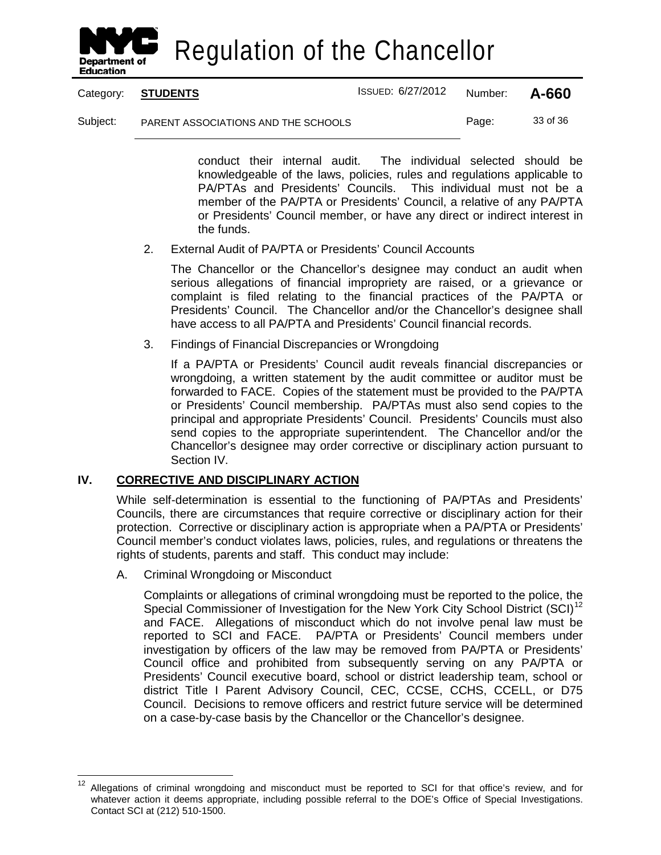

Category: **STUDENTS** ISSUED: 6/27/2012 Number: **A-660**

Subject: PARENT ASSOCIATIONS AND THE SCHOOLS Page: 33 of 36

conduct their internal audit. The individual selected should be knowledgeable of the laws, policies, rules and regulations applicable to PA/PTAs and Presidents' Councils. This individual must not be a member of the PA/PTA or Presidents' Council, a relative of any PA/PTA or Presidents' Council member, or have any direct or indirect interest in the funds.

2. External Audit of PA/PTA or Presidents' Council Accounts

The Chancellor or the Chancellor's designee may conduct an audit when serious allegations of financial impropriety are raised, or a grievance or complaint is filed relating to the financial practices of the PA/PTA or Presidents' Council. The Chancellor and/or the Chancellor's designee shall have access to all PA/PTA and Presidents' Council financial records.

3. Findings of Financial Discrepancies or Wrongdoing

If a PA/PTA or Presidents' Council audit reveals financial discrepancies or wrongdoing, a written statement by the audit committee or auditor must be forwarded to FACE. Copies of the statement must be provided to the PA/PTA or Presidents' Council membership. PA/PTAs must also send copies to the principal and appropriate Presidents' Council. Presidents' Councils must also send copies to the appropriate superintendent. The Chancellor and/or the Chancellor's designee may order corrective or disciplinary action pursuant to Section IV.

#### **IV. CORRECTIVE AND DISCIPLINARY ACTION**

While self-determination is essential to the functioning of PA/PTAs and Presidents' Councils, there are circumstances that require corrective or disciplinary action for their protection. Corrective or disciplinary action is appropriate when a PA/PTA or Presidents' Council member's conduct violates laws, policies, rules, and regulations or threatens the rights of students, parents and staff. This conduct may include:

A. Criminal Wrongdoing or Misconduct

Complaints or allegations of criminal wrongdoing must be reported to the police, the Special Commissioner of Investigation for the New York City School District (SCI)<sup>[12](#page-39-0)</sup> and FACE. Allegations of misconduct which do not involve penal law must be reported to SCI and FACE. PA/PTA or Presidents' Council members under investigation by officers of the law may be removed from PA/PTA or Presidents' Council office and prohibited from subsequently serving on any PA/PTA or Presidents' Council executive board, school or district leadership team, school or district Title I Parent Advisory Council, CEC, CCSE, CCHS, CCELL, or D75 Council. Decisions to remove officers and restrict future service will be determined on a case-by-case basis by the Chancellor or the Chancellor's designee.

<span id="page-39-0"></span><sup>&</sup>lt;sup>12</sup> Allegations of criminal wrongdoing and misconduct must be reported to SCI for that office's review, and for whatever action it deems appropriate, including possible referral to the DOE's Office of Special Investigations. Contact SCI at (212) 510-1500.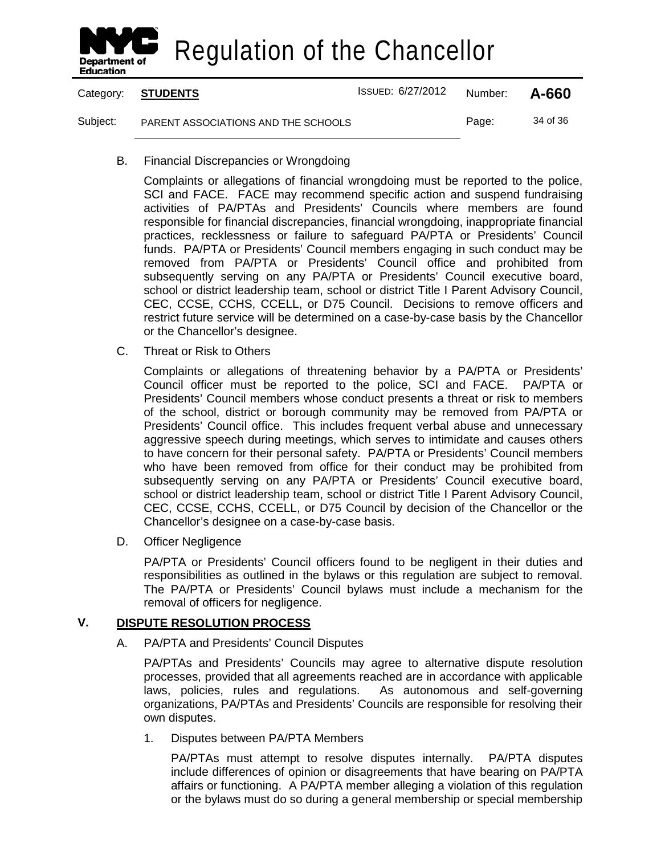

Category: **STUDENTS** ISSUED: 6/27/2012 Number: **A-660** Subject: PARENT ASSOCIATIONS AND THE SCHOOLS Page: 34 of 36

B. Financial Discrepancies or Wrongdoing

Complaints or allegations of financial wrongdoing must be reported to the police, SCI and FACE. FACE may recommend specific action and suspend fundraising activities of PA/PTAs and Presidents' Councils where members are found responsible for financial discrepancies, financial wrongdoing, inappropriate financial practices, recklessness or failure to safeguard PA/PTA or Presidents' Council funds. PA/PTA or Presidents' Council members engaging in such conduct may be removed from PA/PTA or Presidents' Council office and prohibited from subsequently serving on any PA/PTA or Presidents' Council executive board, school or district leadership team, school or district Title I Parent Advisory Council, CEC, CCSE, CCHS, CCELL, or D75 Council. Decisions to remove officers and restrict future service will be determined on a case-by-case basis by the Chancellor or the Chancellor's designee.

C. Threat or Risk to Others

Complaints or allegations of threatening behavior by a PA/PTA or Presidents' Council officer must be reported to the police, SCI and FACE. PA/PTA or Presidents' Council members whose conduct presents a threat or risk to members of the school, district or borough community may be removed from PA/PTA or Presidents' Council office. This includes frequent verbal abuse and unnecessary aggressive speech during meetings, which serves to intimidate and causes others to have concern for their personal safety. PA/PTA or Presidents' Council members who have been removed from office for their conduct may be prohibited from subsequently serving on any PA/PTA or Presidents' Council executive board, school or district leadership team, school or district Title I Parent Advisory Council, CEC, CCSE, CCHS, CCELL, or D75 Council by decision of the Chancellor or the Chancellor's designee on a case-by-case basis.

D. Officer Negligence

PA/PTA or Presidents' Council officers found to be negligent in their duties and responsibilities as outlined in the bylaws or this regulation are subject to removal. The PA/PTA or Presidents' Council bylaws must include a mechanism for the removal of officers for negligence.

#### **V. DISPUTE RESOLUTION PROCESS**

A. PA/PTA and Presidents' Council Disputes

PA/PTAs and Presidents' Councils may agree to alternative dispute resolution processes, provided that all agreements reached are in accordance with applicable laws, policies, rules and regulations. As autonomous and self-governing organizations, PA/PTAs and Presidents' Councils are responsible for resolving their own disputes.

1. Disputes between PA/PTA Members

PA/PTAs must attempt to resolve disputes internally. PA/PTA disputes include differences of opinion or disagreements that have bearing on PA/PTA affairs or functioning. A PA/PTA member alleging a violation of this regulation or the bylaws must do so during a general membership or special membership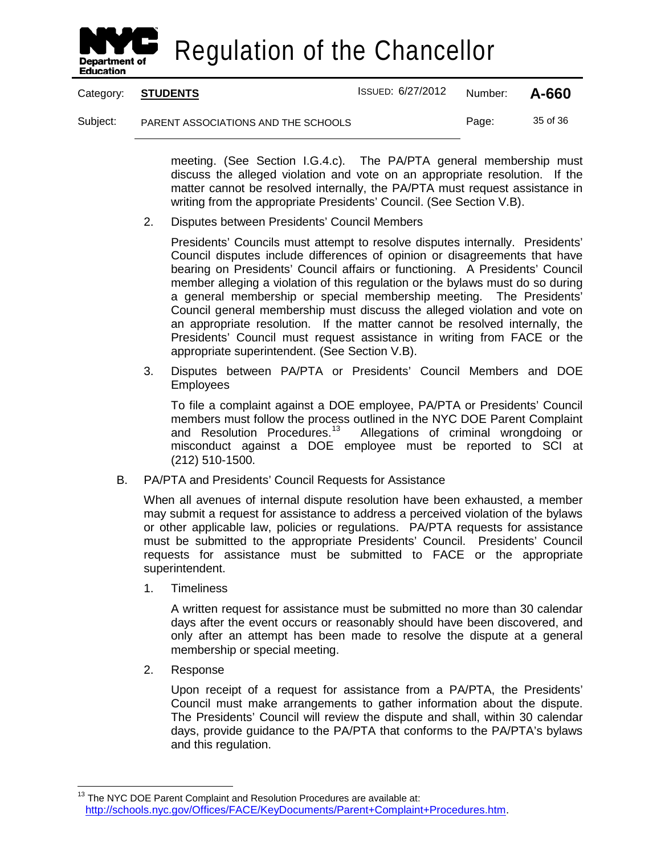

Category: **STUDENTS** ISSUED: 6/27/2012 Number: **A-660**

Subject: PARENT ASSOCIATIONS AND THE SCHOOLS Page: 35 of 36

meeting. (See Section I.G.4.c). The PA/PTA general membership must discuss the alleged violation and vote on an appropriate resolution. If the matter cannot be resolved internally, the PA/PTA must request assistance in writing from the appropriate Presidents' Council. (See Section V.B).

2. Disputes between Presidents' Council Members

Presidents' Councils must attempt to resolve disputes internally. Presidents' Council disputes include differences of opinion or disagreements that have bearing on Presidents' Council affairs or functioning. A Presidents' Council member alleging a violation of this regulation or the bylaws must do so during a general membership or special membership meeting. The Presidents' Council general membership must discuss the alleged violation and vote on an appropriate resolution. If the matter cannot be resolved internally, the Presidents' Council must request assistance in writing from FACE or the appropriate superintendent. (See Section V.B).

3. Disputes between PA/PTA or Presidents' Council Members and DOE Employees

To file a complaint against a DOE employee, PA/PTA or Presidents' Council members must follow the process outlined in the NYC DOE Parent Complaint and Resolution Procedures.<sup>[13](#page-41-0)</sup> Allegations of criminal wrongdoing or misconduct against a DOE employee must be reported to SCI at (212) 510-1500.

B. PA/PTA and Presidents' Council Requests for Assistance

When all avenues of internal dispute resolution have been exhausted, a member may submit a request for assistance to address a perceived violation of the bylaws or other applicable law, policies or regulations. PA/PTA requests for assistance must be submitted to the appropriate Presidents' Council. Presidents' Council requests for assistance must be submitted to FACE or the appropriate superintendent.

1. Timeliness

A written request for assistance must be submitted no more than 30 calendar days after the event occurs or reasonably should have been discovered, and only after an attempt has been made to resolve the dispute at a general membership or special meeting.

2. Response

Upon receipt of a request for assistance from a PA/PTA, the Presidents' Council must make arrangements to gather information about the dispute. The Presidents' Council will review the dispute and shall, within 30 calendar days, provide guidance to the PA/PTA that conforms to the PA/PTA's bylaws and this regulation.

<span id="page-41-0"></span> $13$  The NYC DOE Parent Complaint and Resolution Procedures are available at: [http://schools.nyc.gov/Offices/FACE/KeyDocuments/Parent+Complaint+Procedures.htm.](http://schools.nyc.gov/Offices/FACE/KeyDocuments/Parent+Complaint+Procedures.htm)